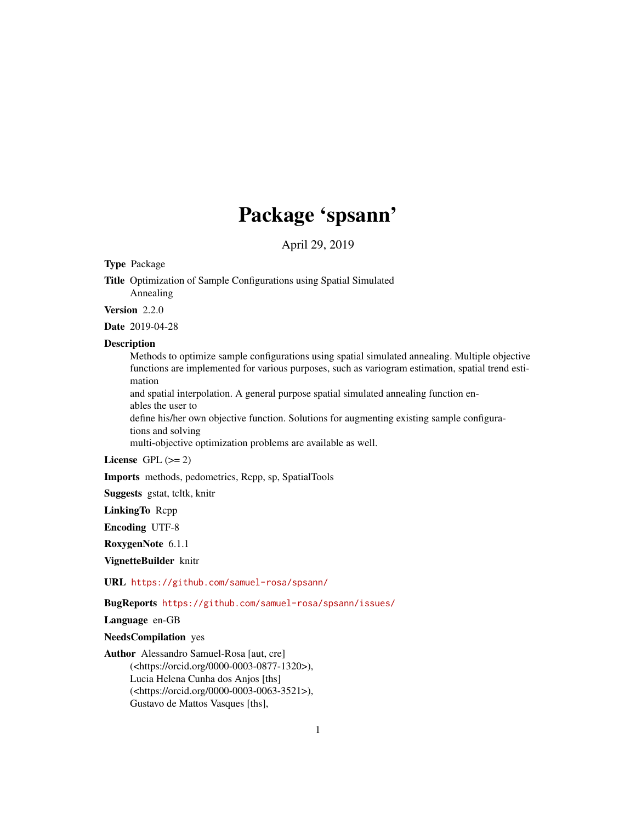# Package 'spsann'

April 29, 2019

# <span id="page-0-0"></span>Type Package

Title Optimization of Sample Configurations using Spatial Simulated Annealing

Version 2.2.0

Date 2019-04-28

# **Description**

Methods to optimize sample configurations using spatial simulated annealing. Multiple objective functions are implemented for various purposes, such as variogram estimation, spatial trend estimation

and spatial interpolation. A general purpose spatial simulated annealing function enables the user to

define his/her own objective function. Solutions for augmenting existing sample configurations and solving

multi-objective optimization problems are available as well.

License GPL  $(>= 2)$ 

Imports methods, pedometrics, Rcpp, sp, SpatialTools

Suggests gstat, tcltk, knitr

LinkingTo Rcpp

Encoding UTF-8

RoxygenNote 6.1.1

VignetteBuilder knitr

URL <https://github.com/samuel-rosa/spsann/>

BugReports <https://github.com/samuel-rosa/spsann/issues/>

Language en-GB

NeedsCompilation yes

Author Alessandro Samuel-Rosa [aut, cre] (<https://orcid.org/0000-0003-0877-1320>), Lucia Helena Cunha dos Anjos [ths] (<https://orcid.org/0000-0003-0063-3521>), Gustavo de Mattos Vasques [ths],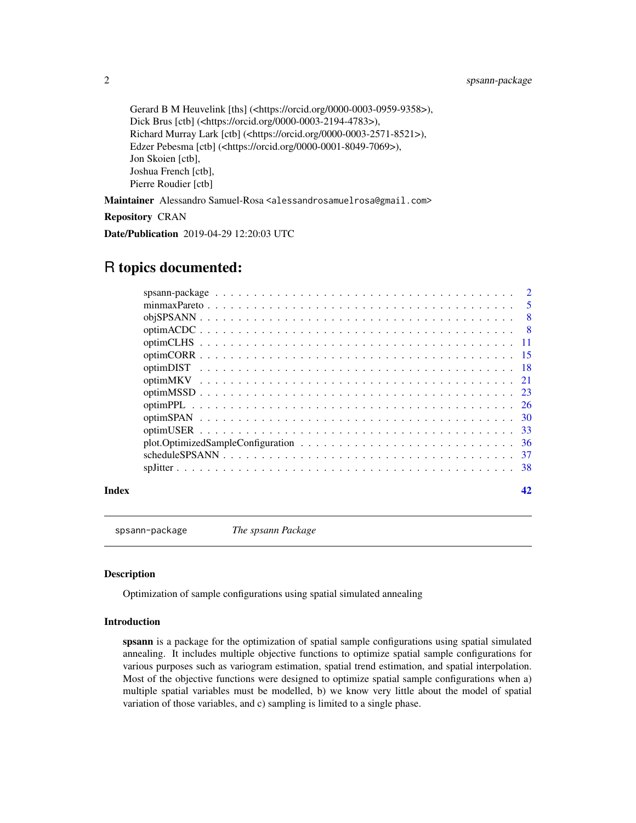<span id="page-1-0"></span>2 spsann-package

Gerard B M Heuvelink [ths] (<https://orcid.org/0000-0003-0959-9358>), Dick Brus [ctb] (<https://orcid.org/0000-0003-2194-4783>), Richard Murray Lark [ctb] (<https://orcid.org/0000-0003-2571-8521>), Edzer Pebesma [ctb] (<https://orcid.org/0000-0001-8049-7069>), Jon Skoien [ctb], Joshua French [ctb], Pierre Roudier [ctb]

Maintainer Alessandro Samuel-Rosa <alessandrosamuelrosa@gmail.com>

Repository CRAN

Date/Publication 2019-04-29 12:20:03 UTC

# R topics documented:

| -30 |
|-----|
|     |
|     |
|     |
|     |
|     |

#### **Index** [42](#page-41-0)

spsann-package *The spsann Package*

## Description

Optimization of sample configurations using spatial simulated annealing

# Introduction

spsann is a package for the optimization of spatial sample configurations using spatial simulated annealing. It includes multiple objective functions to optimize spatial sample configurations for various purposes such as variogram estimation, spatial trend estimation, and spatial interpolation. Most of the objective functions were designed to optimize spatial sample configurations when a) multiple spatial variables must be modelled, b) we know very little about the model of spatial variation of those variables, and c) sampling is limited to a single phase.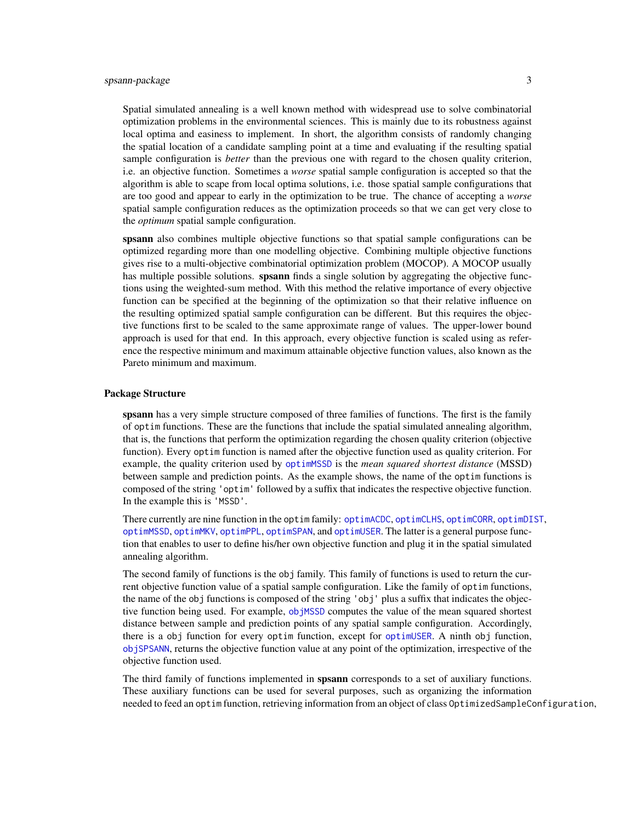<span id="page-2-0"></span>Spatial simulated annealing is a well known method with widespread use to solve combinatorial optimization problems in the environmental sciences. This is mainly due to its robustness against local optima and easiness to implement. In short, the algorithm consists of randomly changing the spatial location of a candidate sampling point at a time and evaluating if the resulting spatial sample configuration is *better* than the previous one with regard to the chosen quality criterion, i.e. an objective function. Sometimes a *worse* spatial sample configuration is accepted so that the algorithm is able to scape from local optima solutions, i.e. those spatial sample configurations that are too good and appear to early in the optimization to be true. The chance of accepting a *worse* spatial sample configuration reduces as the optimization proceeds so that we can get very close to the *optimum* spatial sample configuration.

spsann also combines multiple objective functions so that spatial sample configurations can be optimized regarding more than one modelling objective. Combining multiple objective functions gives rise to a multi-objective combinatorial optimization problem (MOCOP). A MOCOP usually has multiple possible solutions. **spsann** finds a single solution by aggregating the objective functions using the weighted-sum method. With this method the relative importance of every objective function can be specified at the beginning of the optimization so that their relative influence on the resulting optimized spatial sample configuration can be different. But this requires the objective functions first to be scaled to the same approximate range of values. The upper-lower bound approach is used for that end. In this approach, every objective function is scaled using as reference the respective minimum and maximum attainable objective function values, also known as the Pareto minimum and maximum.

## Package Structure

spsann has a very simple structure composed of three families of functions. The first is the family of optim functions. These are the functions that include the spatial simulated annealing algorithm, that is, the functions that perform the optimization regarding the chosen quality criterion (objective function). Every optim function is named after the objective function used as quality criterion. For example, the quality criterion used by [optimMSSD](#page-22-1) is the *mean squared shortest distance* (MSSD) between sample and prediction points. As the example shows, the name of the optim functions is composed of the string 'optim' followed by a suffix that indicates the respective objective function. In the example this is 'MSSD'.

There currently are nine function in the optim family: [optimACDC](#page-7-1), [optimCLHS](#page-10-1), [optimCORR](#page-14-1), [optimDIST](#page-17-1), [optimMSSD](#page-22-1), [optimMKV](#page-20-1), [optimPPL](#page-25-1), [optimSPAN](#page-29-1), and [optimUSER](#page-32-1). The latter is a general purpose function that enables to user to define his/her own objective function and plug it in the spatial simulated annealing algorithm.

The second family of functions is the obj family. This family of functions is used to return the current objective function value of a spatial sample configuration. Like the family of optim functions, the name of the obj functions is composed of the string 'obj' plus a suffix that indicates the objective function being used. For example, [objMSSD](#page-22-2) computes the value of the mean squared shortest distance between sample and prediction points of any spatial sample configuration. Accordingly, there is a obj function for every optim function, except for [optimUSER](#page-32-1). A ninth obj function, [objSPSANN](#page-7-2), returns the objective function value at any point of the optimization, irrespective of the objective function used.

The third family of functions implemented in **spsann** corresponds to a set of auxiliary functions. These auxiliary functions can be used for several purposes, such as organizing the information needed to feed an optim function, retrieving information from an object of class OptimizedSampleConfiguration,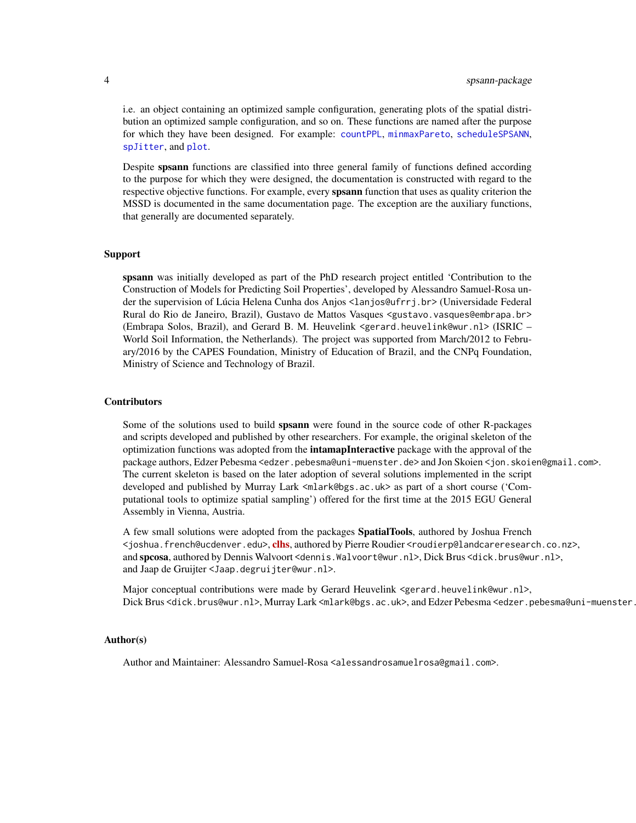<span id="page-3-0"></span>i.e. an object containing an optimized sample configuration, generating plots of the spatial distribution an optimized sample configuration, and so on. These functions are named after the purpose for which they have been designed. For example: [countPPL](#page-25-2), [minmaxPareto](#page-4-1), [scheduleSPSANN](#page-36-1), [spJitter](#page-37-1), and [plot](#page-35-1).

Despite spsann functions are classified into three general family of functions defined according to the purpose for which they were designed, the documentation is constructed with regard to the respective objective functions. For example, every **spsann** function that uses as quality criterion the MSSD is documented in the same documentation page. The exception are the auxiliary functions, that generally are documented separately.

#### Support

spsann was initially developed as part of the PhD research project entitled 'Contribution to the Construction of Models for Predicting Soil Properties', developed by Alessandro Samuel-Rosa under the supervision of Lúcia Helena Cunha dos Anjos <lanjos@ufrrj.br> (Universidade Federal Rural do Rio de Janeiro, Brazil), Gustavo de Mattos Vasques <gustavo.vasques@embrapa.br> (Embrapa Solos, Brazil), and Gerard B. M. Heuvelink <gerard.heuvelink@wur.nl> (ISRIC – World Soil Information, the Netherlands). The project was supported from March/2012 to February/2016 by the CAPES Foundation, Ministry of Education of Brazil, and the CNPq Foundation, Ministry of Science and Technology of Brazil.

# **Contributors**

Some of the solutions used to build **spsann** were found in the source code of other R-packages and scripts developed and published by other researchers. For example, the original skeleton of the optimization functions was adopted from the **intamapInteractive** package with the approval of the package authors, Edzer Pebesma <edzer.pebesma@uni-muenster.de> and Jon Skoien <jon.skoien@gmail.com>. The current skeleton is based on the later adoption of several solutions implemented in the script developed and published by Murray Lark <mlark@bgs.ac.uk> as part of a short course ('Computational tools to optimize spatial sampling') offered for the first time at the 2015 EGU General Assembly in Vienna, Austria.

A few small solutions were adopted from the packages SpatialTools, authored by Joshua French <joshua.french@ucdenver.edu>,[clhs](https://CRAN.R-project.org/package=clhs), authored by Pierre Roudier <roudierp@landcareresearch.co.nz>, and spcosa, authored by Dennis Walvoort <dennis.Walvoort@wur.nl>, Dick Brus <dick.brus@wur.nl>, and Jaap de Gruijter <Jaap.degruijter@wur.nl>.

Major conceptual contributions were made by Gerard Heuvelink <gerard.heuvelink@wur.nl>, Dick Brus<dick.brus@wur.nl>, Murray Lark <mlark@bgs.ac.uk>, and Edzer Pebesma <edzer.pebesma@uni-muenster.

#### Author(s)

Author and Maintainer: Alessandro Samuel-Rosa <alessandrosamuelrosa@gmail.com>.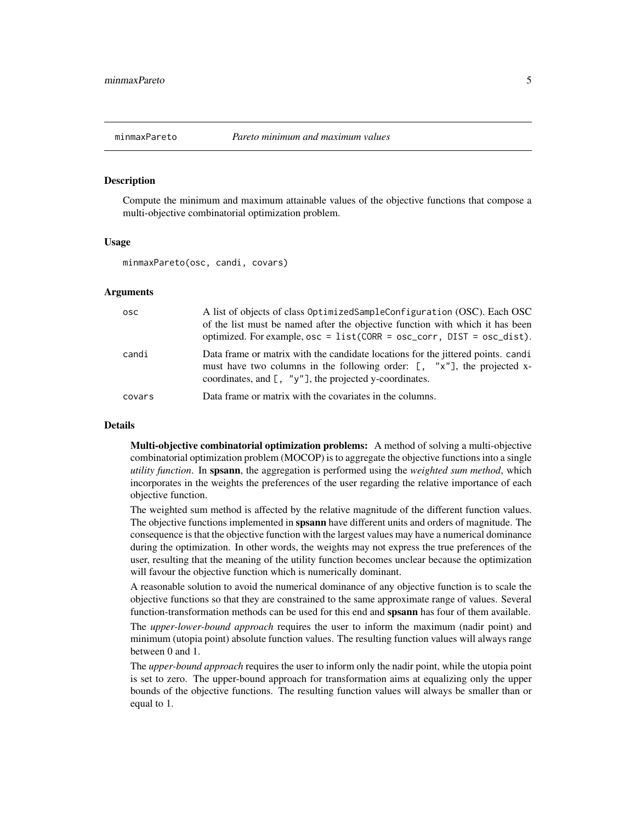<span id="page-4-1"></span><span id="page-4-0"></span>

#### Description

Compute the minimum and maximum attainable values of the objective functions that compose a multi-objective combinatorial optimization problem.

# Usage

minmaxPareto(osc, candi, covars)

## Arguments

| osc    | A list of objects of class OptimizedSampleConfiguration (OSC). Each OSC<br>of the list must be named after the objective function with which it has been<br>optimized. For example, $osc = list(CORR = osc\_corr, DIST = osc\_dist)$ . |
|--------|----------------------------------------------------------------------------------------------------------------------------------------------------------------------------------------------------------------------------------------|
| candi  | Data frame or matrix with the candidate locations for the jittered points. candi<br>must have two columns in the following order: $[ , "x"]$ , the projected x-<br>coordinates, and $\lbrack$ , "y"], the projected y-coordinates.     |
| covars | Data frame or matrix with the covariates in the columns.                                                                                                                                                                               |

#### Details

Multi-objective combinatorial optimization problems: A method of solving a multi-objective combinatorial optimization problem (MOCOP) is to aggregate the objective functions into a single *utility function*. In spsann, the aggregation is performed using the *weighted sum method*, which incorporates in the weights the preferences of the user regarding the relative importance of each objective function.

The weighted sum method is affected by the relative magnitude of the different function values. The objective functions implemented in spsann have different units and orders of magnitude. The consequence is that the objective function with the largest values may have a numerical dominance during the optimization. In other words, the weights may not express the true preferences of the user, resulting that the meaning of the utility function becomes unclear because the optimization will favour the objective function which is numerically dominant.

A reasonable solution to avoid the numerical dominance of any objective function is to scale the objective functions so that they are constrained to the same approximate range of values. Several function-transformation methods can be used for this end and spsann has four of them available.

The *upper-lower-bound approach* requires the user to inform the maximum (nadir point) and minimum (utopia point) absolute function values. The resulting function values will always range between 0 and 1.

The *upper-bound approach* requires the user to inform only the nadir point, while the utopia point is set to zero. The upper-bound approach for transformation aims at equalizing only the upper bounds of the objective functions. The resulting function values will always be smaller than or equal to 1.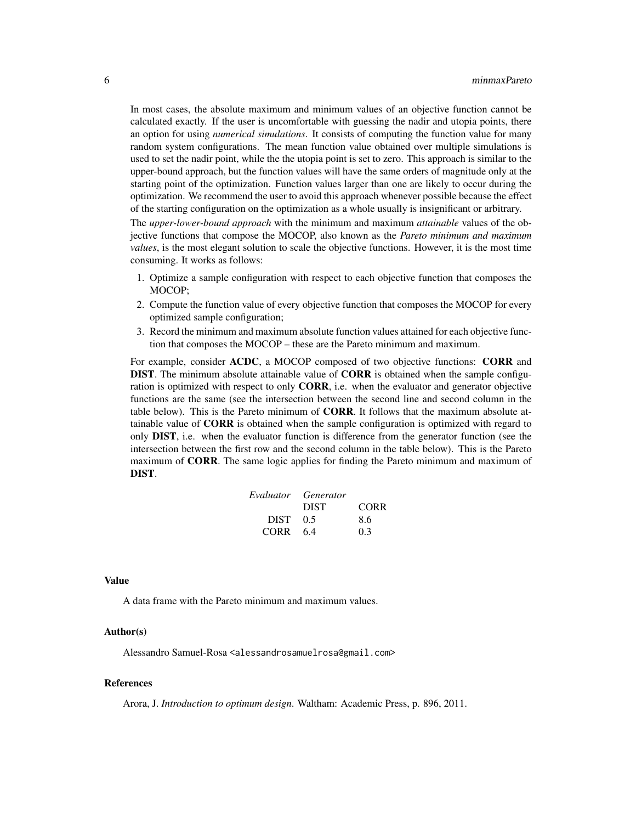In most cases, the absolute maximum and minimum values of an objective function cannot be calculated exactly. If the user is uncomfortable with guessing the nadir and utopia points, there an option for using *numerical simulations*. It consists of computing the function value for many random system configurations. The mean function value obtained over multiple simulations is used to set the nadir point, while the the utopia point is set to zero. This approach is similar to the upper-bound approach, but the function values will have the same orders of magnitude only at the starting point of the optimization. Function values larger than one are likely to occur during the optimization. We recommend the user to avoid this approach whenever possible because the effect of the starting configuration on the optimization as a whole usually is insignificant or arbitrary.

The *upper-lower-bound approach* with the minimum and maximum *attainable* values of the objective functions that compose the MOCOP, also known as the *Pareto minimum and maximum values*, is the most elegant solution to scale the objective functions. However, it is the most time consuming. It works as follows:

- 1. Optimize a sample configuration with respect to each objective function that composes the MOCOP;
- 2. Compute the function value of every objective function that composes the MOCOP for every optimized sample configuration;
- 3. Record the minimum and maximum absolute function values attained for each objective function that composes the MOCOP – these are the Pareto minimum and maximum.

For example, consider ACDC, a MOCOP composed of two objective functions: CORR and DIST. The minimum absolute attainable value of CORR is obtained when the sample configuration is optimized with respect to only CORR, i.e. when the evaluator and generator objective functions are the same (see the intersection between the second line and second column in the table below). This is the Pareto minimum of CORR. It follows that the maximum absolute attainable value of CORR is obtained when the sample configuration is optimized with regard to only DIST, i.e. when the evaluator function is difference from the generator function (see the intersection between the first row and the second column in the table below). This is the Pareto maximum of CORR. The same logic applies for finding the Pareto minimum and maximum of DIST.

|          | Evaluator Generator |             |
|----------|---------------------|-------------|
|          | <b>DIST</b>         | <b>CORR</b> |
| DIST 0.5 |                     | 8.6         |
| CORR 6.4 |                     | 0.3         |

#### Value

A data frame with the Pareto minimum and maximum values.

# Author(s)

Alessandro Samuel-Rosa <alessandrosamuelrosa@gmail.com>

# References

Arora, J. *Introduction to optimum design*. Waltham: Academic Press, p. 896, 2011.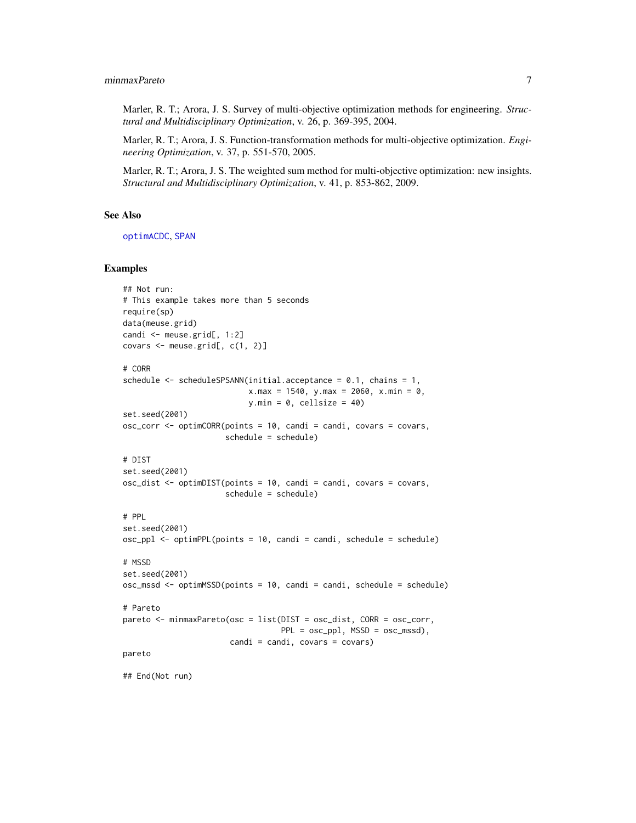# <span id="page-6-0"></span>minmaxPareto 7

Marler, R. T.; Arora, J. S. Survey of multi-objective optimization methods for engineering. *Structural and Multidisciplinary Optimization*, v. 26, p. 369-395, 2004.

Marler, R. T.; Arora, J. S. Function-transformation methods for multi-objective optimization. *Engineering Optimization*, v. 37, p. 551-570, 2005.

Marler, R. T.; Arora, J. S. The weighted sum method for multi-objective optimization: new insights. *Structural and Multidisciplinary Optimization*, v. 41, p. 853-862, 2009.

# See Also

[optimACDC](#page-7-1), [SPAN](#page-29-2)

#### Examples

```
## Not run:
# This example takes more than 5 seconds
require(sp)
data(meuse.grid)
candi <- meuse.grid[, 1:2]
covars \leq meuse.grid[, c(1, 2)]
# CORR
schedule <- scheduleSPSANN(initial.acceptance = 0.1, chains = 1,
                           x.max = 1540, y.max = 2060, x.min = 0,
                           y.min = 0, cellsize = 40)
set.seed(2001)
osc_corr <- optimCORR(points = 10, candi = candi, covars = covars,
                      schedule = schedule)
# DIST
set.seed(2001)
osc\_dist \le - optimDIST(points = 10, candi = candi, covars = covars,
                      schedule = schedule)
# PPL
set.seed(2001)
osc\_ppl \leq optimPPL(points = 10, candi = candi, schedule = schedule)# MSSD
set.seed(2001)
osc_mssd <- optimMSSD(points = 10, candi = candi, schedule = schedule)
# Pareto
pareto <- minmaxPareto(osc = list(DIST = osc_dist, CORR = osc_corr,
                                  PPL = osc\_pp1, MSSD = osc\_mssd),
                       candi = candi, covars = covars)pareto
## End(Not run)
```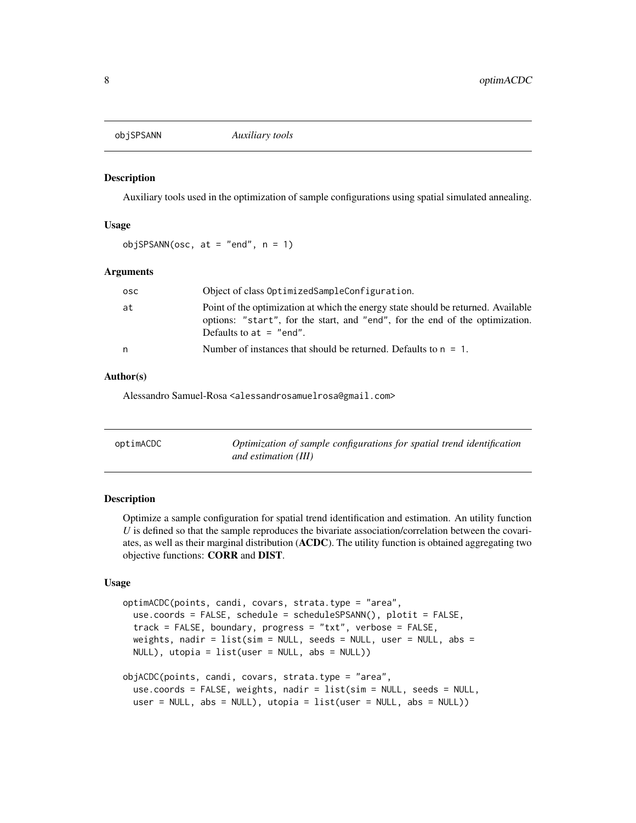<span id="page-7-2"></span><span id="page-7-0"></span>

# Description

Auxiliary tools used in the optimization of sample configurations using spatial simulated annealing.

# Usage

```
objSPSANN(osc, at = "end", n = 1)
```
# Arguments

| osc. | Object of class OptimizedSampleConfiguration.                                                                                                                                                  |
|------|------------------------------------------------------------------------------------------------------------------------------------------------------------------------------------------------|
| at   | Point of the optimization at which the energy state should be returned. Available<br>options: "start", for the start, and "end", for the end of the optimization.<br>Defaults to $at = "end".$ |
| n    | Number of instances that should be returned. Defaults to $n = 1$ .                                                                                                                             |

# Author(s)

Alessandro Samuel-Rosa <alessandrosamuelrosa@gmail.com>

<span id="page-7-1"></span>

| optimACDC | Optimization of sample configurations for spatial trend identification |
|-----------|------------------------------------------------------------------------|
|           | and estimation (III)                                                   |

# **Description**

Optimize a sample configuration for spatial trend identification and estimation. An utility function *U* is defined so that the sample reproduces the bivariate association/correlation between the covariates, as well as their marginal distribution (ACDC). The utility function is obtained aggregating two objective functions: CORR and DIST.

# Usage

```
optimACDC(points, candi, covars, strata.type = "area",
 use.coords = FALSE, schedule = scheduleSPSANN(), plotit = FALSE,
  track = FALSE, boundary, progress = "txt", verbose = FALSE,
 weights, nadir = list(sim = NULL, seeds = NULL, user = NULL, abs =NULL), utopia = list(user = NULL, abs = NULL))
objACDC(points, candi, covars, strata.type = "area",
 use.coords = FALSE, weights, nadir = list(sim = NULL, seeds = NULL,
 user = NULL, abs = NULL), utopia = list(user = NULL, abs = NULL)
```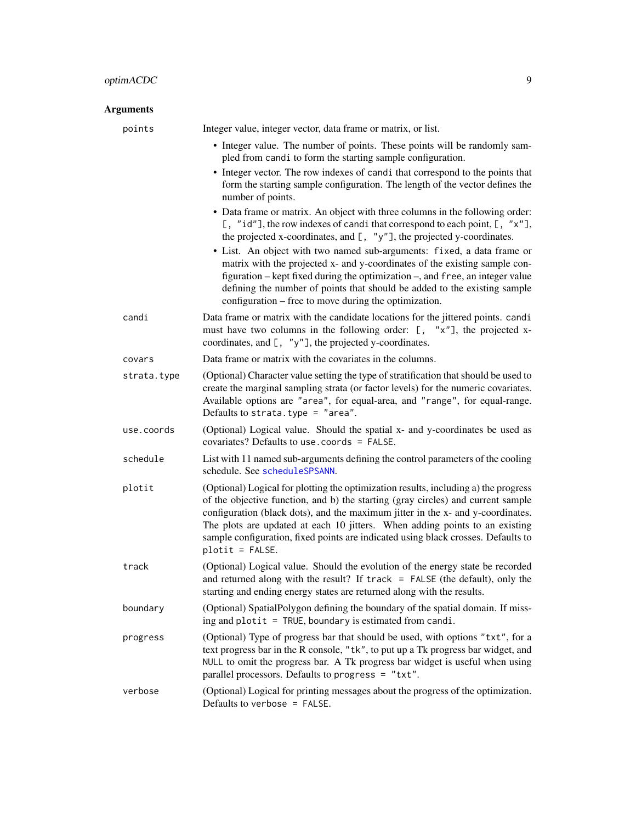# <span id="page-8-0"></span>optimACDC 9

| <b>Arguments</b> |                                                                                                                                                                                                                                                                                                                                                                                                                                                     |
|------------------|-----------------------------------------------------------------------------------------------------------------------------------------------------------------------------------------------------------------------------------------------------------------------------------------------------------------------------------------------------------------------------------------------------------------------------------------------------|
| points           | Integer value, integer vector, data frame or matrix, or list.                                                                                                                                                                                                                                                                                                                                                                                       |
|                  | • Integer value. The number of points. These points will be randomly sam-<br>pled from candi to form the starting sample configuration.                                                                                                                                                                                                                                                                                                             |
|                  | • Integer vector. The row indexes of candi that correspond to the points that<br>form the starting sample configuration. The length of the vector defines the<br>number of points.                                                                                                                                                                                                                                                                  |
|                  | • Data frame or matrix. An object with three columns in the following order:<br>[, "id"], the row indexes of candi that correspond to each point, $[$ , "x"],<br>the projected x-coordinates, and $[$ , "y"], the projected y-coordinates.                                                                                                                                                                                                          |
|                  | • List. An object with two named sub-arguments: fixed, a data frame or<br>matrix with the projected x- and y-coordinates of the existing sample con-<br>figuration – kept fixed during the optimization –, and free, an integer value<br>defining the number of points that should be added to the existing sample<br>configuration – free to move during the optimization.                                                                         |
| candi            | Data frame or matrix with the candidate locations for the jittered points. candi<br>must have two columns in the following order: $[ , "x" ]$ , the projected x-<br>coordinates, and $[$ , "y"], the projected y-coordinates.                                                                                                                                                                                                                       |
| covars           | Data frame or matrix with the covariates in the columns.                                                                                                                                                                                                                                                                                                                                                                                            |
| strata.type      | (Optional) Character value setting the type of stratification that should be used to<br>create the marginal sampling strata (or factor levels) for the numeric covariates.<br>Available options are "area", for equal-area, and "range", for equal-range.<br>Defaults to strata.type = $"area".$                                                                                                                                                    |
| use.coords       | (Optional) Logical value. Should the spatial x- and y-coordinates be used as<br>covariates? Defaults to use. coords = FALSE.                                                                                                                                                                                                                                                                                                                        |
| schedule         | List with 11 named sub-arguments defining the control parameters of the cooling<br>schedule. See scheduleSPSANN.                                                                                                                                                                                                                                                                                                                                    |
| plotit           | (Optional) Logical for plotting the optimization results, including a) the progress<br>of the objective function, and b) the starting (gray circles) and current sample<br>configuration (black dots), and the maximum jitter in the x- and y-coordinates.<br>The plots are updated at each 10 jitters. When adding points to an existing<br>sample configuration, fixed points are indicated using black crosses. Defaults to<br>$plotit = FALSE.$ |
| track            | (Optional) Logical value. Should the evolution of the energy state be recorded<br>and returned along with the result? If $track = FALSE$ (the default), only the<br>starting and ending energy states are returned along with the results.                                                                                                                                                                                                          |
| boundary         | (Optional) SpatialPolygon defining the boundary of the spatial domain. If miss-<br>ing and plotit = TRUE, boundary is estimated from candi.                                                                                                                                                                                                                                                                                                         |
| progress         | (Optional) Type of progress bar that should be used, with options "txt", for a<br>text progress bar in the R console, "tk", to put up a Tk progress bar widget, and<br>NULL to omit the progress bar. A Tk progress bar widget is useful when using<br>parallel processors. Defaults to progress = "txt".                                                                                                                                           |
| verbose          | (Optional) Logical for printing messages about the progress of the optimization.<br>Defaults to verbose = FALSE.                                                                                                                                                                                                                                                                                                                                    |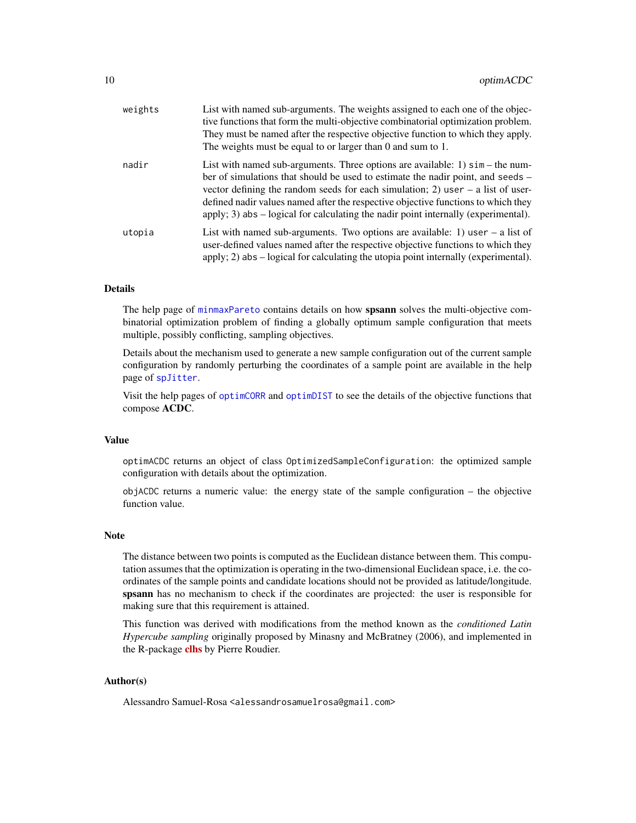<span id="page-9-0"></span>

| weights | List with named sub-arguments. The weights assigned to each one of the objec-<br>tive functions that form the multi-objective combinatorial optimization problem.<br>They must be named after the respective objective function to which they apply.<br>The weights must be equal to or larger than $0$ and sum to $1$ .                                                                                                                    |
|---------|---------------------------------------------------------------------------------------------------------------------------------------------------------------------------------------------------------------------------------------------------------------------------------------------------------------------------------------------------------------------------------------------------------------------------------------------|
| nadir   | List with named sub-arguments. Three options are available: 1) $\sin - \theta$ he num-<br>ber of simulations that should be used to estimate the nadir point, and seeds –<br>vector defining the random seeds for each simulation; 2) user $-$ a list of user-<br>defined nadir values named after the respective objective functions to which they<br>apply; 3) abs $-$ logical for calculating the nadir point internally (experimental). |
| utopia  | List with named sub-arguments. Two options are available: 1) user $-$ a list of<br>user-defined values named after the respective objective functions to which they<br>apply; 2) abs $-$ logical for calculating the utopia point internally (experimental).                                                                                                                                                                                |

# Details

The help page of [minmaxPareto](#page-4-1) contains details on how spsann solves the multi-objective combinatorial optimization problem of finding a globally optimum sample configuration that meets multiple, possibly conflicting, sampling objectives.

Details about the mechanism used to generate a new sample configuration out of the current sample configuration by randomly perturbing the coordinates of a sample point are available in the help page of [spJitter](#page-37-1).

Visit the help pages of [optimCORR](#page-14-1) and [optimDIST](#page-17-1) to see the details of the objective functions that compose ACDC.

# Value

optimACDC returns an object of class OptimizedSampleConfiguration: the optimized sample configuration with details about the optimization.

objACDC returns a numeric value: the energy state of the sample configuration – the objective function value.

#### Note

The distance between two points is computed as the Euclidean distance between them. This computation assumes that the optimization is operating in the two-dimensional Euclidean space, i.e. the coordinates of the sample points and candidate locations should not be provided as latitude/longitude. spsann has no mechanism to check if the coordinates are projected: the user is responsible for making sure that this requirement is attained.

This function was derived with modifications from the method known as the *conditioned Latin Hypercube sampling* originally proposed by Minasny and McBratney (2006), and implemented in the R-package [clhs](https://CRAN.R-project.org/package=clhs) by Pierre Roudier.

# Author(s)

Alessandro Samuel-Rosa <alessandrosamuelrosa@gmail.com>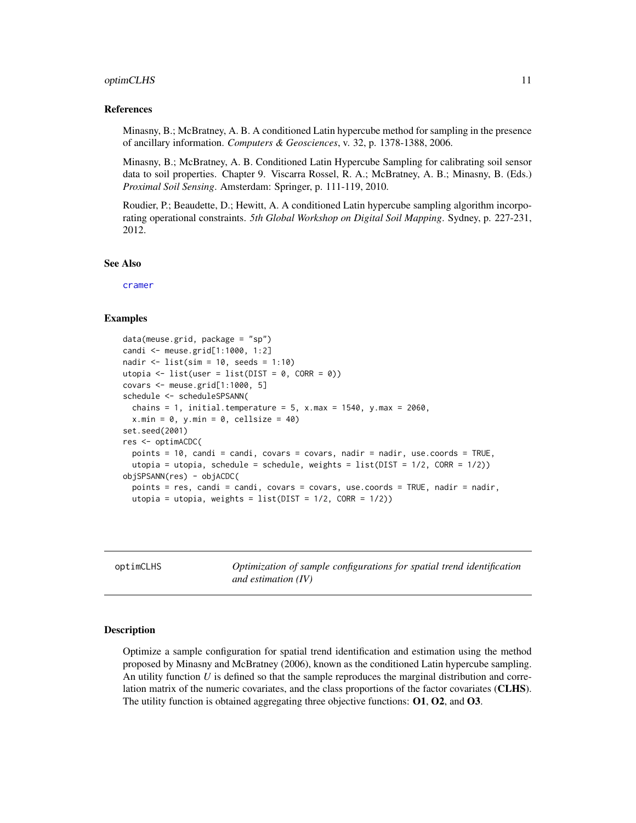## <span id="page-10-0"></span>optimCLHS 11

#### References

Minasny, B.; McBratney, A. B. A conditioned Latin hypercube method for sampling in the presence of ancillary information. *Computers & Geosciences*, v. 32, p. 1378-1388, 2006.

Minasny, B.; McBratney, A. B. Conditioned Latin Hypercube Sampling for calibrating soil sensor data to soil properties. Chapter 9. Viscarra Rossel, R. A.; McBratney, A. B.; Minasny, B. (Eds.) *Proximal Soil Sensing*. Amsterdam: Springer, p. 111-119, 2010.

Roudier, P.; Beaudette, D.; Hewitt, A. A conditioned Latin hypercube sampling algorithm incorporating operational constraints. *5th Global Workshop on Digital Soil Mapping*. Sydney, p. 227-231, 2012.

#### See Also

[cramer](#page-0-0)

# Examples

```
data(meuse.grid, package = "sp")
candi <- meuse.grid[1:1000, 1:2]
nadir \le list(sim = 10, seeds = 1:10)
utopia <- list(user = list(DIST = 0, CORR = 0))
covars <- meuse.grid[1:1000, 5]
schedule <- scheduleSPSANN(
  chains = 1, initial.temperature = 5, x.max = 1540, y.max = 2060,
  x.min = 0, y.min = 0, cellsize = 40)set.seed(2001)
res <- optimACDC(
  points = 10, candi = candi, covars = covars, nadir = nadir, use.coords = TRUE,
  utopia = utopia, schedule = schedule, weights = list(DIST = 1/2, CORR = 1/2))
objSPSANN(res) - objACDC(
  points = res, candi = candi, covars = covars, use.coords = TRUE, nadir = nadir,
  utopia = utopia, weights = list(DIST = 1/2, CORR = 1/2))
```
<span id="page-10-1"></span>optimCLHS *Optimization of sample configurations for spatial trend identification and estimation (IV)*

#### **Description**

Optimize a sample configuration for spatial trend identification and estimation using the method proposed by Minasny and McBratney (2006), known as the conditioned Latin hypercube sampling. An utility function *U* is defined so that the sample reproduces the marginal distribution and correlation matrix of the numeric covariates, and the class proportions of the factor covariates (CLHS). The utility function is obtained aggregating three objective functions:  $O1, O2$ , and  $O3$ .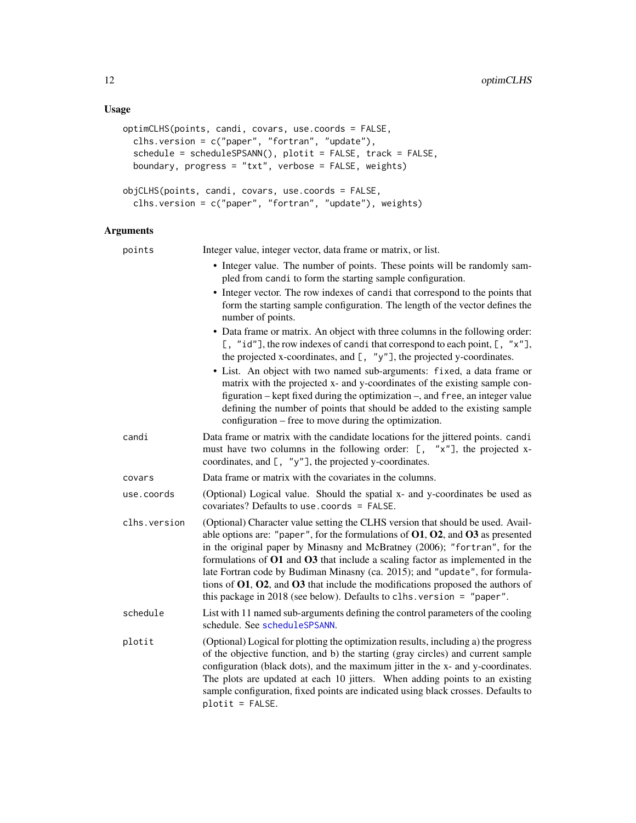```
optimCLHS(points, candi, covars, use.coords = FALSE,
 clhs.version = c("paper", "fortran", "update"),
  schedule = scheduleSPSANN(), plotit = FALSE, track = FALSE,
 boundary, progress = "txt", verbose = FALSE, weights)
objCLHS(points, candi, covars, use.coords = FALSE,
 clhs.version = c("paper", "fortran", "update"), weights)
```
# Arguments

| points       | Integer value, integer vector, data frame or matrix, or list.                                                                                                                                                                                                                                                                                                                                                                                                                                                                                                                           |
|--------------|-----------------------------------------------------------------------------------------------------------------------------------------------------------------------------------------------------------------------------------------------------------------------------------------------------------------------------------------------------------------------------------------------------------------------------------------------------------------------------------------------------------------------------------------------------------------------------------------|
|              | • Integer value. The number of points. These points will be randomly sam-<br>pled from candi to form the starting sample configuration.                                                                                                                                                                                                                                                                                                                                                                                                                                                 |
|              | • Integer vector. The row indexes of candi that correspond to the points that<br>form the starting sample configuration. The length of the vector defines the<br>number of points.                                                                                                                                                                                                                                                                                                                                                                                                      |
|              | • Data frame or matrix. An object with three columns in the following order:<br>[, "id"], the row indexes of candi that correspond to each point, $[$ , "x"],<br>the projected x-coordinates, and $[$ , "y"], the projected y-coordinates.                                                                                                                                                                                                                                                                                                                                              |
|              | • List. An object with two named sub-arguments: fixed, a data frame or<br>matrix with the projected x- and y-coordinates of the existing sample con-<br>figuration – kept fixed during the optimization –, and free, an integer value<br>defining the number of points that should be added to the existing sample<br>configuration – free to move during the optimization.                                                                                                                                                                                                             |
| candi        | Data frame or matrix with the candidate locations for the jittered points. candi<br>must have two columns in the following order: [, "x"], the projected x-<br>coordinates, and $[$ , "y"], the projected y-coordinates.                                                                                                                                                                                                                                                                                                                                                                |
| covars       | Data frame or matrix with the covariates in the columns.                                                                                                                                                                                                                                                                                                                                                                                                                                                                                                                                |
| use.coords   | (Optional) Logical value. Should the spatial x- and y-coordinates be used as<br>covariates? Defaults to use, coords = $FALSE$ .                                                                                                                                                                                                                                                                                                                                                                                                                                                         |
| clhs.version | (Optional) Character value setting the CLHS version that should be used. Avail-<br>able options are: "paper", for the formulations of $01, 02$ , and $03$ as presented<br>in the original paper by Minasny and McBratney (2006); "fortran", for the<br>formulations of O1 and O3 that include a scaling factor as implemented in the<br>late Fortran code by Budiman Minasny (ca. 2015); and "update", for formula-<br>tions of $01$ , $02$ , and $03$ that include the modifications proposed the authors of<br>this package in 2018 (see below). Defaults to clhs. version = "paper". |
| schedule     | List with 11 named sub-arguments defining the control parameters of the cooling<br>schedule. See scheduleSPSANN.                                                                                                                                                                                                                                                                                                                                                                                                                                                                        |
| plotit       | (Optional) Logical for plotting the optimization results, including a) the progress<br>of the objective function, and b) the starting (gray circles) and current sample<br>configuration (black dots), and the maximum jitter in the x- and y-coordinates.<br>The plots are updated at each 10 jitters. When adding points to an existing<br>sample configuration, fixed points are indicated using black crosses. Defaults to<br>$plotit = FALSE.$                                                                                                                                     |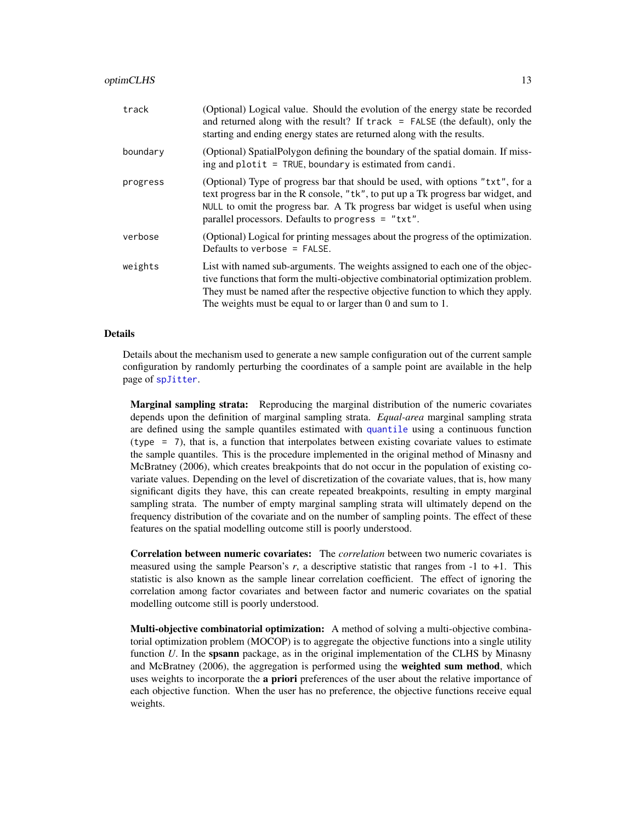<span id="page-12-0"></span>

| track    | (Optional) Logical value. Should the evolution of the energy state be recorded<br>and returned along with the result? If $track = FALSE$ (the default), only the<br>starting and ending energy states are returned along with the results.                                                                          |
|----------|---------------------------------------------------------------------------------------------------------------------------------------------------------------------------------------------------------------------------------------------------------------------------------------------------------------------|
| boundary | (Optional) SpatialPolygon defining the boundary of the spatial domain. If miss-<br>ing and plotit $=$ TRUE, boundary is estimated from candi.                                                                                                                                                                       |
| progress | (Optional) Type of progress bar that should be used, with options "txt", for a<br>text progress bar in the R console, "tk", to put up a Tk progress bar widget, and<br>NULL to omit the progress bar. A Tk progress bar widget is useful when using<br>parallel processors. Defaults to progress = "txt".           |
| verbose  | (Optional) Logical for printing messages about the progress of the optimization.<br>Defaults to verbose $=$ FALSE.                                                                                                                                                                                                  |
| weights  | List with named sub-arguments. The weights assigned to each one of the objec-<br>tive functions that form the multi-objective combinatorial optimization problem.<br>They must be named after the respective objective function to which they apply.<br>The weights must be equal to or larger than 0 and sum to 1. |

#### Details

Details about the mechanism used to generate a new sample configuration out of the current sample configuration by randomly perturbing the coordinates of a sample point are available in the help page of [spJitter](#page-37-1).

Marginal sampling strata: Reproducing the marginal distribution of the numeric covariates depends upon the definition of marginal sampling strata. *Equal-area* marginal sampling strata are defined using the sample quantiles estimated with [quantile](#page-0-0) using a continuous function (type = 7), that is, a function that interpolates between existing covariate values to estimate the sample quantiles. This is the procedure implemented in the original method of Minasny and McBratney (2006), which creates breakpoints that do not occur in the population of existing covariate values. Depending on the level of discretization of the covariate values, that is, how many significant digits they have, this can create repeated breakpoints, resulting in empty marginal sampling strata. The number of empty marginal sampling strata will ultimately depend on the frequency distribution of the covariate and on the number of sampling points. The effect of these features on the spatial modelling outcome still is poorly understood.

Correlation between numeric covariates: The *correlation* between two numeric covariates is measured using the sample Pearson's *r*, a descriptive statistic that ranges from -1 to +1. This statistic is also known as the sample linear correlation coefficient. The effect of ignoring the correlation among factor covariates and between factor and numeric covariates on the spatial modelling outcome still is poorly understood.

Multi-objective combinatorial optimization: A method of solving a multi-objective combinatorial optimization problem (MOCOP) is to aggregate the objective functions into a single utility function *U*. In the **spsann** package, as in the original implementation of the CLHS by Minasny and McBratney (2006), the aggregation is performed using the weighted sum method, which uses weights to incorporate the a priori preferences of the user about the relative importance of each objective function. When the user has no preference, the objective functions receive equal weights.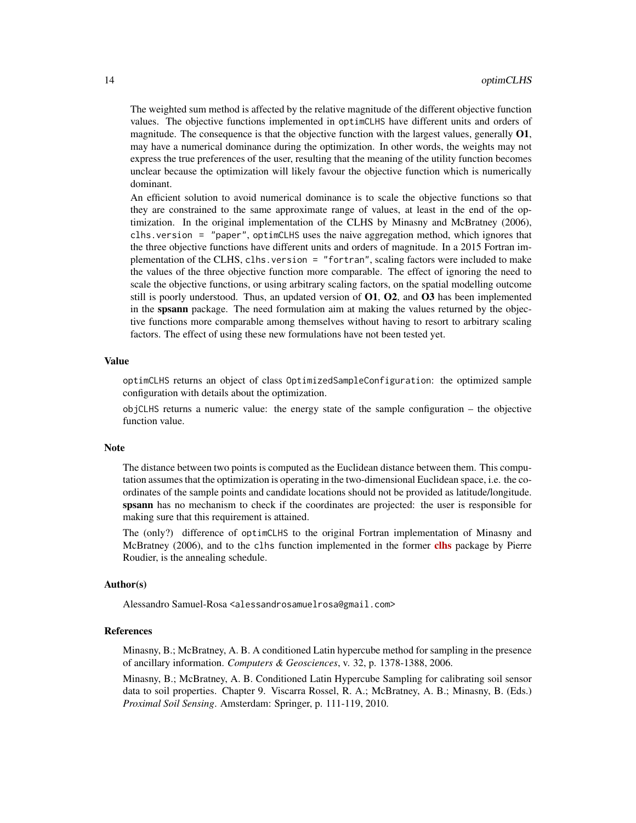The weighted sum method is affected by the relative magnitude of the different objective function values. The objective functions implemented in optimCLHS have different units and orders of magnitude. The consequence is that the objective function with the largest values, generally  $O1$ , may have a numerical dominance during the optimization. In other words, the weights may not express the true preferences of the user, resulting that the meaning of the utility function becomes unclear because the optimization will likely favour the objective function which is numerically dominant.

An efficient solution to avoid numerical dominance is to scale the objective functions so that they are constrained to the same approximate range of values, at least in the end of the optimization. In the original implementation of the CLHS by Minasny and McBratney (2006), clhs.version = "paper", optimCLHS uses the naive aggregation method, which ignores that the three objective functions have different units and orders of magnitude. In a 2015 Fortran implementation of the CLHS, clhs.version = "fortran", scaling factors were included to make the values of the three objective function more comparable. The effect of ignoring the need to scale the objective functions, or using arbitrary scaling factors, on the spatial modelling outcome still is poorly understood. Thus, an updated version of O1, O2, and O3 has been implemented in the spsann package. The need formulation aim at making the values returned by the objective functions more comparable among themselves without having to resort to arbitrary scaling factors. The effect of using these new formulations have not been tested yet.

# Value

optimCLHS returns an object of class OptimizedSampleConfiguration: the optimized sample configuration with details about the optimization.

objCLHS returns a numeric value: the energy state of the sample configuration – the objective function value.

#### Note

The distance between two points is computed as the Euclidean distance between them. This computation assumes that the optimization is operating in the two-dimensional Euclidean space, i.e. the coordinates of the sample points and candidate locations should not be provided as latitude/longitude. spsann has no mechanism to check if the coordinates are projected: the user is responsible for making sure that this requirement is attained.

The (only?) difference of optimCLHS to the original Fortran implementation of Minasny and McBratney (2006), and to the [clhs](https://CRAN.R-project.org/package=clhs) function implemented in the former clhs package by Pierre Roudier, is the annealing schedule.

#### Author(s)

Alessandro Samuel-Rosa <alessandrosamuelrosa@gmail.com>

#### References

Minasny, B.; McBratney, A. B. A conditioned Latin hypercube method for sampling in the presence of ancillary information. *Computers & Geosciences*, v. 32, p. 1378-1388, 2006.

Minasny, B.; McBratney, A. B. Conditioned Latin Hypercube Sampling for calibrating soil sensor data to soil properties. Chapter 9. Viscarra Rossel, R. A.; McBratney, A. B.; Minasny, B. (Eds.) *Proximal Soil Sensing*. Amsterdam: Springer, p. 111-119, 2010.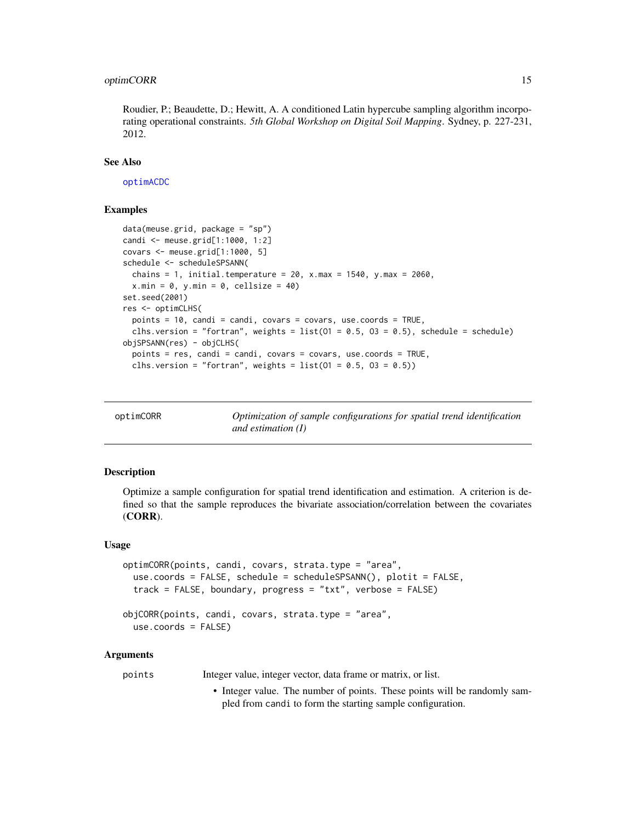# <span id="page-14-0"></span>optimCORR 15

Roudier, P.; Beaudette, D.; Hewitt, A. A conditioned Latin hypercube sampling algorithm incorporating operational constraints. *5th Global Workshop on Digital Soil Mapping*. Sydney, p. 227-231, 2012.

# See Also

[optimACDC](#page-7-1)

# Examples

```
data(meuse.grid, package = "sp")
candi <- meuse.grid[1:1000, 1:2]
covars <- meuse.grid[1:1000, 5]
schedule <- scheduleSPSANN(
 chains = 1, initial.temperature = 20, x.max = 1540, y.max = 2060,
 x.min = 0, y.min = 0, cell size = 40)set.seed(2001)
res <- optimCLHS(
 points = 10, candi = candi, covars = covars, use.coords = TRUE,
 clhs.version = "fortran", weights = list(01 = 0.5, 03 = 0.5), schedule = schedule)
objSPSANN(res) - objCLHS(
 points = res, candi = candi, covars = covars, use.coords = TRUE,
 clhs.version = "fortran", weights = list(01 = 0.5, 03 = 0.5))
```
<span id="page-14-1"></span>

| optimCORR | Optimization of sample configurations for spatial trend identification |
|-----------|------------------------------------------------------------------------|
|           | and estimation $(I)$                                                   |

# **Description**

Optimize a sample configuration for spatial trend identification and estimation. A criterion is defined so that the sample reproduces the bivariate association/correlation between the covariates (CORR).

#### Usage

```
optimCORR(points, candi, covars, strata.type = "area",
  use.coords = FALSE, schedule = scheduleSPSANN(), plotit = FALSE,
  track = FALSE, boundary, progress = "txt", verbose = FALSE)
objCORR(points, candi, covars, strata.type = "area",
  use.coords = FALSE)
```
#### Arguments

points Integer value, integer vector, data frame or matrix, or list.

• Integer value. The number of points. These points will be randomly sampled from candi to form the starting sample configuration.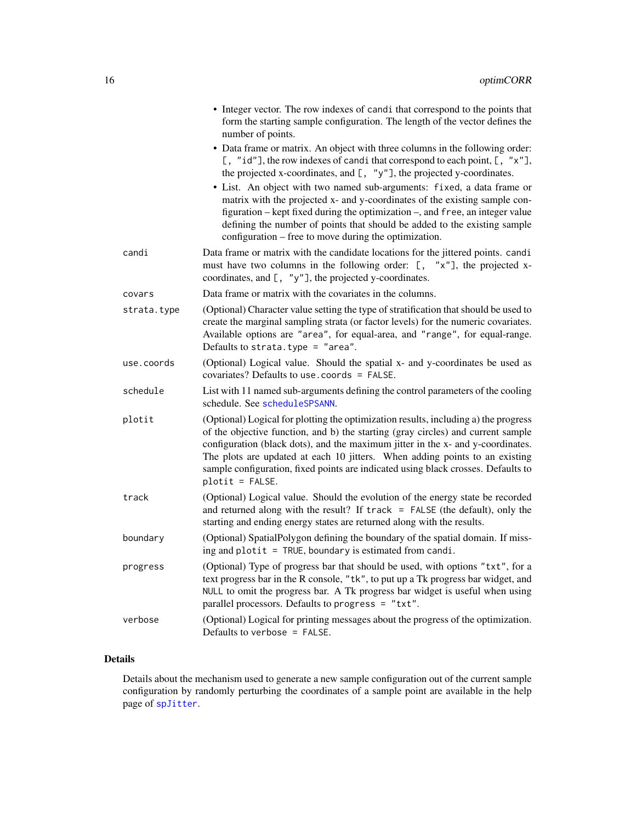<span id="page-15-0"></span>

|             | • Integer vector. The row indexes of candi that correspond to the points that<br>form the starting sample configuration. The length of the vector defines the<br>number of points.                                                                                                                                                                                                                                                                                                                                                                                                                                  |
|-------------|---------------------------------------------------------------------------------------------------------------------------------------------------------------------------------------------------------------------------------------------------------------------------------------------------------------------------------------------------------------------------------------------------------------------------------------------------------------------------------------------------------------------------------------------------------------------------------------------------------------------|
|             | • Data frame or matrix. An object with three columns in the following order:<br>[, "id"], the row indexes of candi that correspond to each point, [, "x"],<br>the projected x-coordinates, and [, "y"], the projected y-coordinates.<br>• List. An object with two named sub-arguments: fixed, a data frame or<br>matrix with the projected x- and y-coordinates of the existing sample con-<br>figuration – kept fixed during the optimization –, and free, an integer value<br>defining the number of points that should be added to the existing sample<br>configuration – free to move during the optimization. |
| candi       | Data frame or matrix with the candidate locations for the jittered points. candi<br>must have two columns in the following order: [, "x"], the projected x-<br>coordinates, and $[$ , "y"], the projected y-coordinates.                                                                                                                                                                                                                                                                                                                                                                                            |
| covars      | Data frame or matrix with the covariates in the columns.                                                                                                                                                                                                                                                                                                                                                                                                                                                                                                                                                            |
| strata.type | (Optional) Character value setting the type of stratification that should be used to<br>create the marginal sampling strata (or factor levels) for the numeric covariates.<br>Available options are "area", for equal-area, and "range", for equal-range.<br>Defaults to strata.type = "area".                                                                                                                                                                                                                                                                                                                      |
| use.coords  | (Optional) Logical value. Should the spatial x- and y-coordinates be used as<br>covariates? Defaults to use, coords = FALSE.                                                                                                                                                                                                                                                                                                                                                                                                                                                                                        |
| schedule    | List with 11 named sub-arguments defining the control parameters of the cooling<br>schedule. See scheduleSPSANN.                                                                                                                                                                                                                                                                                                                                                                                                                                                                                                    |
| plotit      | (Optional) Logical for plotting the optimization results, including a) the progress<br>of the objective function, and b) the starting (gray circles) and current sample<br>configuration (black dots), and the maximum jitter in the x- and y-coordinates.<br>The plots are updated at each 10 jitters. When adding points to an existing<br>sample configuration, fixed points are indicated using black crosses. Defaults to<br>$plotit = FALSE.$                                                                                                                                                                 |
| track       | (Optional) Logical value. Should the evolution of the energy state be recorded<br>and returned along with the result? If $track = FALSE$ (the default), only the<br>starting and ending energy states are returned along with the results.                                                                                                                                                                                                                                                                                                                                                                          |
| boundary    | (Optional) SpatialPolygon defining the boundary of the spatial domain. If miss-<br>ing and plotit = TRUE, boundary is estimated from candi.                                                                                                                                                                                                                                                                                                                                                                                                                                                                         |
| progress    | (Optional) Type of progress bar that should be used, with options "txt", for a<br>text progress bar in the R console, "tk", to put up a Tk progress bar widget, and<br>NULL to omit the progress bar. A Tk progress bar widget is useful when using<br>parallel processors. Defaults to progress = "txt".                                                                                                                                                                                                                                                                                                           |
| verbose     | (Optional) Logical for printing messages about the progress of the optimization.<br>Defaults to verbose = FALSE.                                                                                                                                                                                                                                                                                                                                                                                                                                                                                                    |

# Details

Details about the mechanism used to generate a new sample configuration out of the current sample configuration by randomly perturbing the coordinates of a sample point are available in the help page of [spJitter](#page-37-1).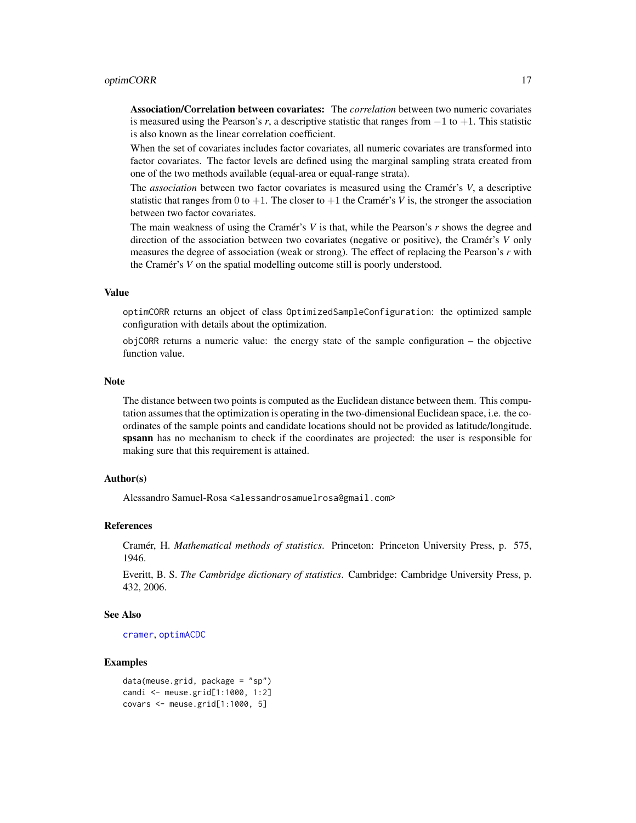# <span id="page-16-0"></span>optimCORR 17

Association/Correlation between covariates: The *correlation* between two numeric covariates is measured using the Pearson's *r*, a descriptive statistic that ranges from −1 to +1. This statistic is also known as the linear correlation coefficient.

When the set of covariates includes factor covariates, all numeric covariates are transformed into factor covariates. The factor levels are defined using the marginal sampling strata created from one of the two methods available (equal-area or equal-range strata).

The *association* between two factor covariates is measured using the Cramér's *V*, a descriptive statistic that ranges from 0 to  $+1$ . The closer to  $+1$  the Cramér's *V* is, the stronger the association between two factor covariates.

The main weakness of using the Cramér's *V* is that, while the Pearson's *r* shows the degree and direction of the association between two covariates (negative or positive), the Cramér's *V* only measures the degree of association (weak or strong). The effect of replacing the Pearson's *r* with the Cramér's *V* on the spatial modelling outcome still is poorly understood.

# Value

optimCORR returns an object of class OptimizedSampleConfiguration: the optimized sample configuration with details about the optimization.

objCORR returns a numeric value: the energy state of the sample configuration – the objective function value.

#### Note

The distance between two points is computed as the Euclidean distance between them. This computation assumes that the optimization is operating in the two-dimensional Euclidean space, i.e. the coordinates of the sample points and candidate locations should not be provided as latitude/longitude. spsann has no mechanism to check if the coordinates are projected: the user is responsible for making sure that this requirement is attained.

# Author(s)

Alessandro Samuel-Rosa <alessandrosamuelrosa@gmail.com>

#### References

Cramér, H. *Mathematical methods of statistics*. Princeton: Princeton University Press, p. 575, 1946.

Everitt, B. S. *The Cambridge dictionary of statistics*. Cambridge: Cambridge University Press, p. 432, 2006.

# See Also

[cramer](#page-0-0), [optimACDC](#page-7-1)

# Examples

```
data(meuse.grid, package = "sp")
candi <- meuse.grid[1:1000, 1:2]
covars <- meuse.grid[1:1000, 5]
```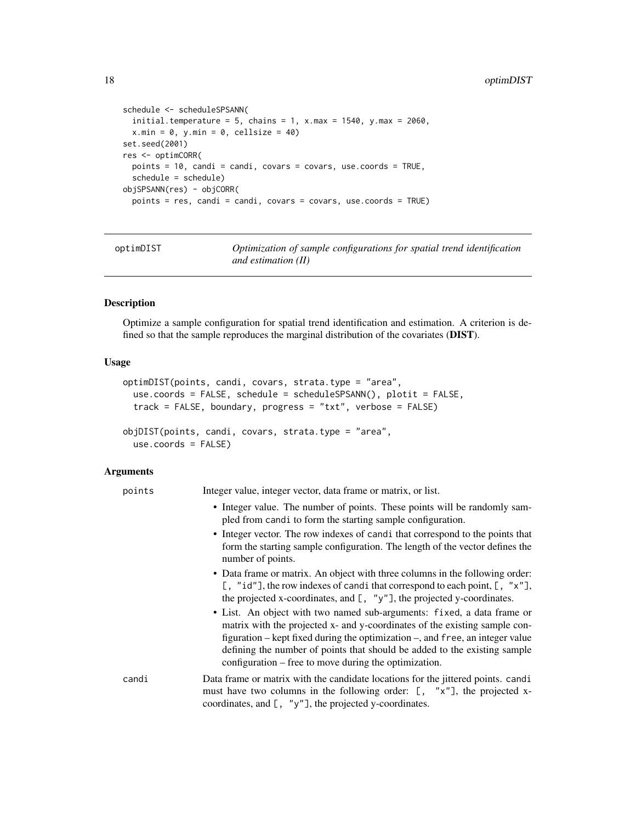```
schedule <- scheduleSPSANN(
  initial.temperature = 5, chains = 1, x.max = 1540, y.max = 2060,
  x.min = 0, y.min = 0, cell size = 40)set.seed(2001)
res <- optimCORR(
 points = 10, candi = candi, covars = covars, use.coords = TRUE,
  schedule = schedule)
objSPSANN(res) - objCORR(
  points = res, candi = candi, covars = covars, use.coords = TRUE)
```
<span id="page-17-1"></span>optimDIST *Optimization of sample configurations for spatial trend identification and estimation (II)*

# Description

Optimize a sample configuration for spatial trend identification and estimation. A criterion is defined so that the sample reproduces the marginal distribution of the covariates (DIST).

# Usage

```
optimDIST(points, candi, covars, strata.type = "area",
  use.coords = FALSE, schedule = scheduleSPSANN(), plotit = FALSE,
  track = FALSE, boundary, progress = "txt", verbose = FALSE)
objDIST(points, candi, covars, strata.type = "area",
  use.coords = FALSE)
```
# **Arguments**

| points | Integer value, integer vector, data frame or matrix, or list.                                                                                                                                                                                                                                                                                                               |
|--------|-----------------------------------------------------------------------------------------------------------------------------------------------------------------------------------------------------------------------------------------------------------------------------------------------------------------------------------------------------------------------------|
|        | • Integer value. The number of points. These points will be randomly sam-<br>pled from candi to form the starting sample configuration.                                                                                                                                                                                                                                     |
|        | • Integer vector. The row indexes of candi that correspond to the points that<br>form the starting sample configuration. The length of the vector defines the<br>number of points.                                                                                                                                                                                          |
|        | • Data frame or matrix. An object with three columns in the following order:<br>[, "id"], the row indexes of candi that correspond to each point, $[$ , "x"],<br>the projected x-coordinates, and $[$ , "y"], the projected y-coordinates.                                                                                                                                  |
|        | • List. An object with two named sub-arguments: fixed, a data frame or<br>matrix with the projected x- and y-coordinates of the existing sample con-<br>figuration – kept fixed during the optimization –, and free, an integer value<br>defining the number of points that should be added to the existing sample<br>configuration – free to move during the optimization. |
| candi  | Data frame or matrix with the candidate locations for the jittered points. candi<br>must have two columns in the following order: $[ , "x" ]$ , the projected x-<br>coordinates, and $[ , "y" ]$ , the projected y-coordinates.                                                                                                                                             |

<span id="page-17-0"></span>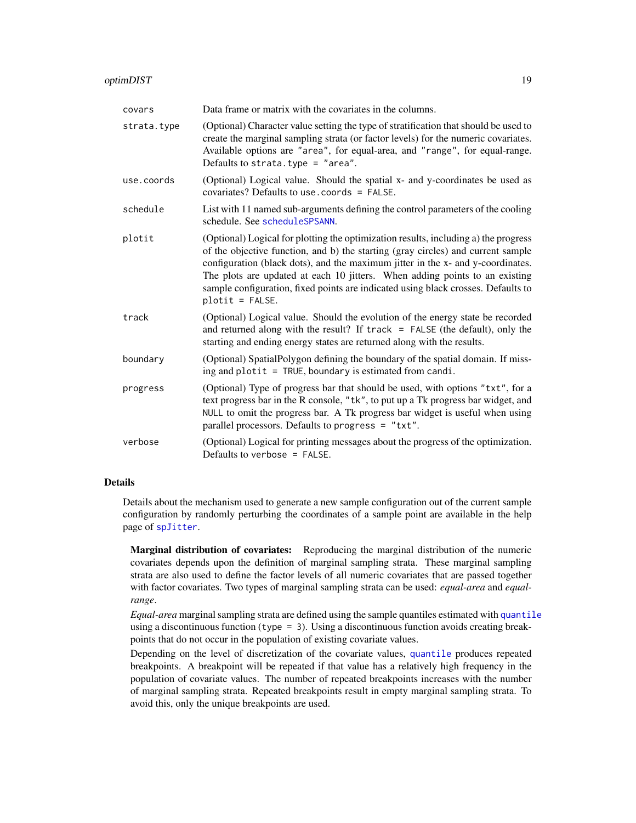# <span id="page-18-0"></span>optimDIST 19

| covars      | Data frame or matrix with the covariates in the columns.                                                                                                                                                                                                                                                                                                                                                                                            |
|-------------|-----------------------------------------------------------------------------------------------------------------------------------------------------------------------------------------------------------------------------------------------------------------------------------------------------------------------------------------------------------------------------------------------------------------------------------------------------|
| strata.type | (Optional) Character value setting the type of stratification that should be used to<br>create the marginal sampling strata (or factor levels) for the numeric covariates.<br>Available options are "area", for equal-area, and "range", for equal-range.<br>Defaults to strata.type = "area".                                                                                                                                                      |
| use.coords  | (Optional) Logical value. Should the spatial x- and y-coordinates be used as<br>covariates? Defaults to use.coords = FALSE.                                                                                                                                                                                                                                                                                                                         |
| schedule    | List with 11 named sub-arguments defining the control parameters of the cooling<br>schedule. See scheduleSPSANN.                                                                                                                                                                                                                                                                                                                                    |
| plotit      | (Optional) Logical for plotting the optimization results, including a) the progress<br>of the objective function, and b) the starting (gray circles) and current sample<br>configuration (black dots), and the maximum jitter in the x- and y-coordinates.<br>The plots are updated at each 10 jitters. When adding points to an existing<br>sample configuration, fixed points are indicated using black crosses. Defaults to<br>$plotit = FALSE.$ |
| track       | (Optional) Logical value. Should the evolution of the energy state be recorded<br>and returned along with the result? If track = FALSE (the default), only the<br>starting and ending energy states are returned along with the results.                                                                                                                                                                                                            |
| boundary    | (Optional) SpatialPolygon defining the boundary of the spatial domain. If miss-<br>ing and plotit = TRUE, boundary is estimated from candi.                                                                                                                                                                                                                                                                                                         |
| progress    | (Optional) Type of progress bar that should be used, with options "txt", for a<br>text progress bar in the R console, "tk", to put up a Tk progress bar widget, and<br>NULL to omit the progress bar. A Tk progress bar widget is useful when using<br>parallel processors. Defaults to progress = "txt".                                                                                                                                           |
| verbose     | (Optional) Logical for printing messages about the progress of the optimization.<br>Defaults to verbose = $FALSE.$                                                                                                                                                                                                                                                                                                                                  |

# Details

Details about the mechanism used to generate a new sample configuration out of the current sample configuration by randomly perturbing the coordinates of a sample point are available in the help page of [spJitter](#page-37-1).

Marginal distribution of covariates: Reproducing the marginal distribution of the numeric covariates depends upon the definition of marginal sampling strata. These marginal sampling strata are also used to define the factor levels of all numeric covariates that are passed together with factor covariates. Two types of marginal sampling strata can be used: *equal-area* and *equalrange*.

*Equal-area* marginal sampling strata are defined using the sample quantiles estimated with [quantile](#page-0-0) using a discontinuous function (type  $= 3$ ). Using a discontinuous function avoids creating breakpoints that do not occur in the population of existing covariate values.

Depending on the level of discretization of the covariate values, [quantile](#page-0-0) produces repeated breakpoints. A breakpoint will be repeated if that value has a relatively high frequency in the population of covariate values. The number of repeated breakpoints increases with the number of marginal sampling strata. Repeated breakpoints result in empty marginal sampling strata. To avoid this, only the unique breakpoints are used.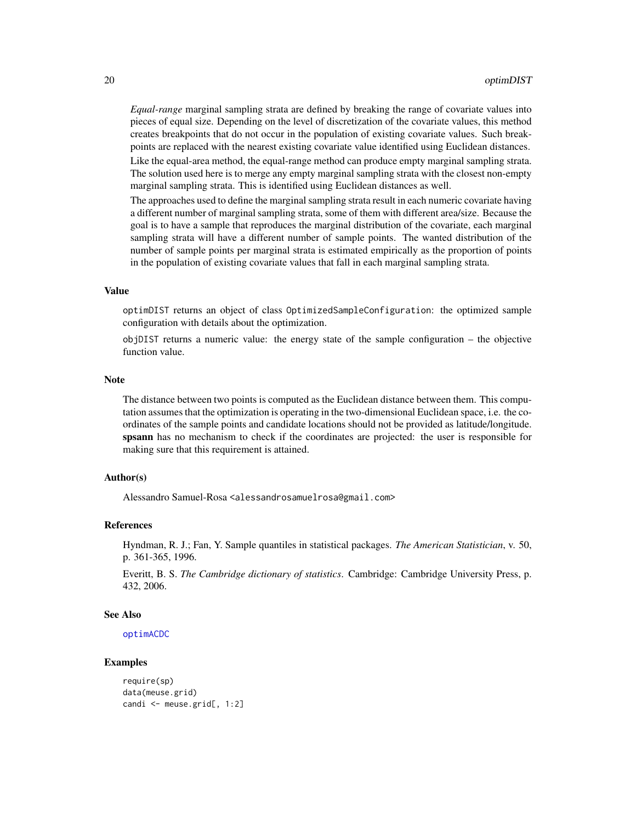<span id="page-19-0"></span>*Equal-range* marginal sampling strata are defined by breaking the range of covariate values into pieces of equal size. Depending on the level of discretization of the covariate values, this method creates breakpoints that do not occur in the population of existing covariate values. Such breakpoints are replaced with the nearest existing covariate value identified using Euclidean distances.

Like the equal-area method, the equal-range method can produce empty marginal sampling strata. The solution used here is to merge any empty marginal sampling strata with the closest non-empty marginal sampling strata. This is identified using Euclidean distances as well.

The approaches used to define the marginal sampling strata result in each numeric covariate having a different number of marginal sampling strata, some of them with different area/size. Because the goal is to have a sample that reproduces the marginal distribution of the covariate, each marginal sampling strata will have a different number of sample points. The wanted distribution of the number of sample points per marginal strata is estimated empirically as the proportion of points in the population of existing covariate values that fall in each marginal sampling strata.

### Value

optimDIST returns an object of class OptimizedSampleConfiguration: the optimized sample configuration with details about the optimization.

objDIST returns a numeric value: the energy state of the sample configuration – the objective function value.

#### Note

The distance between two points is computed as the Euclidean distance between them. This computation assumes that the optimization is operating in the two-dimensional Euclidean space, i.e. the coordinates of the sample points and candidate locations should not be provided as latitude/longitude. spsann has no mechanism to check if the coordinates are projected: the user is responsible for making sure that this requirement is attained.

#### Author(s)

Alessandro Samuel-Rosa <alessandrosamuelrosa@gmail.com>

# References

Hyndman, R. J.; Fan, Y. Sample quantiles in statistical packages. *The American Statistician*, v. 50, p. 361-365, 1996.

Everitt, B. S. *The Cambridge dictionary of statistics*. Cambridge: Cambridge University Press, p. 432, 2006.

# See Also

[optimACDC](#page-7-1)

#### Examples

```
require(sp)
data(meuse.grid)
candi <- meuse.grid[, 1:2]
```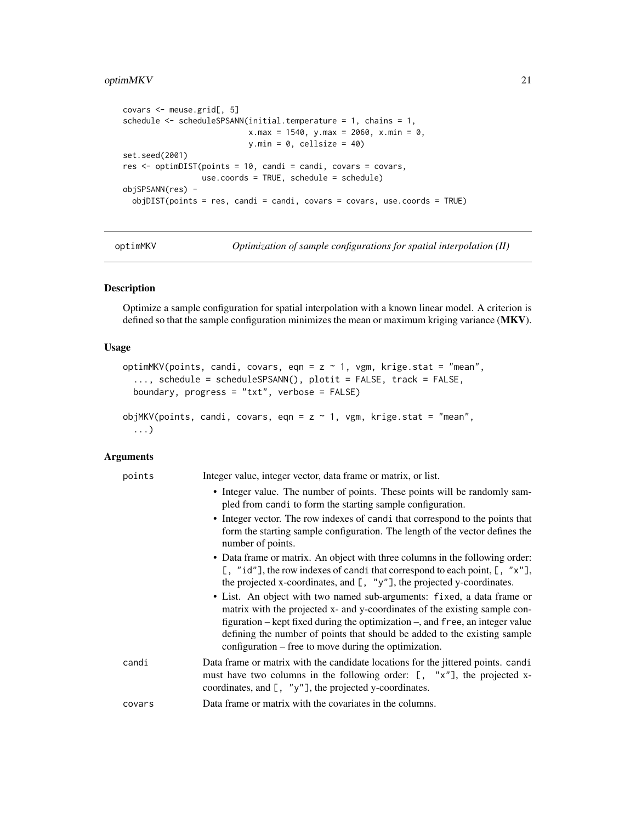# <span id="page-20-0"></span>optimMKV 21

```
covars <- meuse.grid[, 5]
schedule <- scheduleSPSANN(initial.temperature = 1, chains = 1,
                           x.max = 1540, y.max = 2060, x.min = 0,y.min = 0, cellsize = 40)
set.seed(2001)
res <- optimDIST(points = 10, candi = candi, covars = covars,
                 use.coords = TRUE, schedule = schedule)
objSPSANN(res) -
 objDIST(points = res, candi = candi, covars = covars, use.coords = TRUE)
```
optimMKV *Optimization of sample configurations for spatial interpolation (II)*

# Description

Optimize a sample configuration for spatial interpolation with a known linear model. A criterion is defined so that the sample configuration minimizes the mean or maximum kriging variance (MKV).

# Usage

```
optimMKV(points, candi, covars, eqn = z \sim 1, vgm, krige.stat = "mean",
  ..., schedule = scheduleSPSANN(), plotit = FALSE, track = FALSE,
 boundary, progress = "txt", verbose = FALSE)
objMKV(points, candi, covars, eqn = z \sim 1, vgm, krige.stat = "mean",
  ...)
```
# Arguments

| points | Integer value, integer vector, data frame or matrix, or list.                                                                                                                                                                                                                                                                                                               |
|--------|-----------------------------------------------------------------------------------------------------------------------------------------------------------------------------------------------------------------------------------------------------------------------------------------------------------------------------------------------------------------------------|
|        | • Integer value. The number of points. These points will be randomly sam-<br>pled from candi to form the starting sample configuration.                                                                                                                                                                                                                                     |
|        | • Integer vector. The row indexes of candi that correspond to the points that<br>form the starting sample configuration. The length of the vector defines the<br>number of points.                                                                                                                                                                                          |
|        | • Data frame or matrix. An object with three columns in the following order:<br>[, "id"], the row indexes of candi that correspond to each point, $[$ , "x"],<br>the projected x-coordinates, and $[$ , "y"], the projected y-coordinates.                                                                                                                                  |
|        | • List. An object with two named sub-arguments: fixed, a data frame or<br>matrix with the projected x- and y-coordinates of the existing sample con-<br>figuration – kept fixed during the optimization –, and free, an integer value<br>defining the number of points that should be added to the existing sample<br>configuration – free to move during the optimization. |
| candi  | Data frame or matrix with the candidate locations for the jittered points. candi<br>must have two columns in the following order: [, "x"], the projected x-<br>coordinates, and $[ , "y"]$ , the projected y-coordinates.                                                                                                                                                   |
| covars | Data frame or matrix with the covariates in the columns.                                                                                                                                                                                                                                                                                                                    |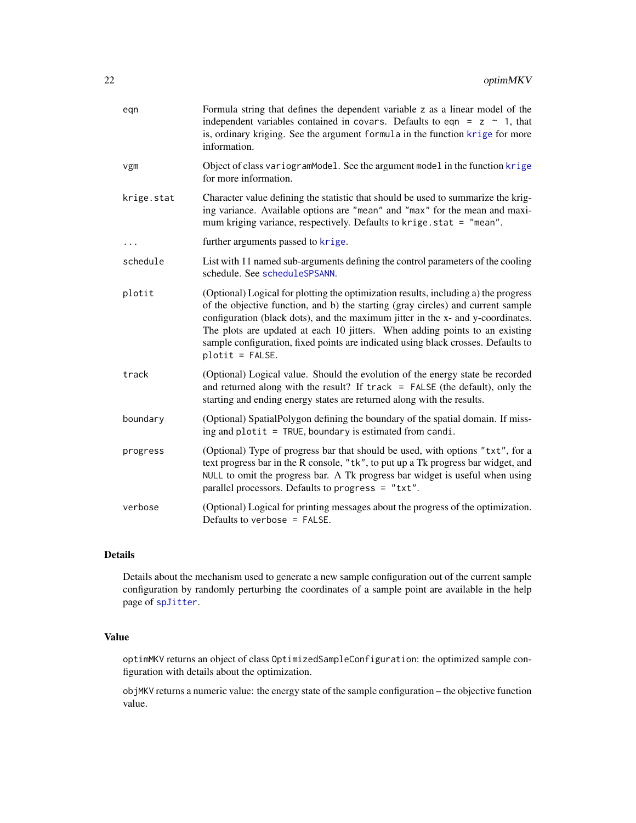<span id="page-21-0"></span>

| eqn        | Formula string that defines the dependent variable z as a linear model of the<br>independent variables contained in covars. Defaults to eqn = $z \sim 1$ , that<br>is, ordinary kriging. See the argument formula in the function krige for more<br>information.                                                                                                                                                                                    |
|------------|-----------------------------------------------------------------------------------------------------------------------------------------------------------------------------------------------------------------------------------------------------------------------------------------------------------------------------------------------------------------------------------------------------------------------------------------------------|
| vgm        | Object of class variogramModel. See the argument model in the function krige<br>for more information.                                                                                                                                                                                                                                                                                                                                               |
| krige.stat | Character value defining the statistic that should be used to summarize the krig-<br>ing variance. Available options are "mean" and "max" for the mean and maxi-<br>mum kriging variance, respectively. Defaults to krige.stat = "mean".                                                                                                                                                                                                            |
| $\cdots$   | further arguments passed to krige.                                                                                                                                                                                                                                                                                                                                                                                                                  |
| schedule   | List with 11 named sub-arguments defining the control parameters of the cooling<br>schedule. See scheduleSPSANN.                                                                                                                                                                                                                                                                                                                                    |
| plotit     | (Optional) Logical for plotting the optimization results, including a) the progress<br>of the objective function, and b) the starting (gray circles) and current sample<br>configuration (black dots), and the maximum jitter in the x- and y-coordinates.<br>The plots are updated at each 10 jitters. When adding points to an existing<br>sample configuration, fixed points are indicated using black crosses. Defaults to<br>$plotit = FALSE.$ |
| track      | (Optional) Logical value. Should the evolution of the energy state be recorded<br>and returned along with the result? If $track = FALSE$ (the default), only the<br>starting and ending energy states are returned along with the results.                                                                                                                                                                                                          |
| boundary   | (Optional) SpatialPolygon defining the boundary of the spatial domain. If miss-<br>ing and plotit = TRUE, boundary is estimated from candi.                                                                                                                                                                                                                                                                                                         |
| progress   | (Optional) Type of progress bar that should be used, with options "txt", for a<br>text progress bar in the R console, "tk", to put up a Tk progress bar widget, and<br>NULL to omit the progress bar. A Tk progress bar widget is useful when using<br>parallel processors. Defaults to progress = "txt".                                                                                                                                           |
| verbose    | (Optional) Logical for printing messages about the progress of the optimization.<br>Defaults to verbose = FALSE.                                                                                                                                                                                                                                                                                                                                    |

# Details

Details about the mechanism used to generate a new sample configuration out of the current sample configuration by randomly perturbing the coordinates of a sample point are available in the help page of [spJitter](#page-37-1).

# Value

optimMKV returns an object of class OptimizedSampleConfiguration: the optimized sample configuration with details about the optimization.

objMKV returns a numeric value: the energy state of the sample configuration – the objective function value.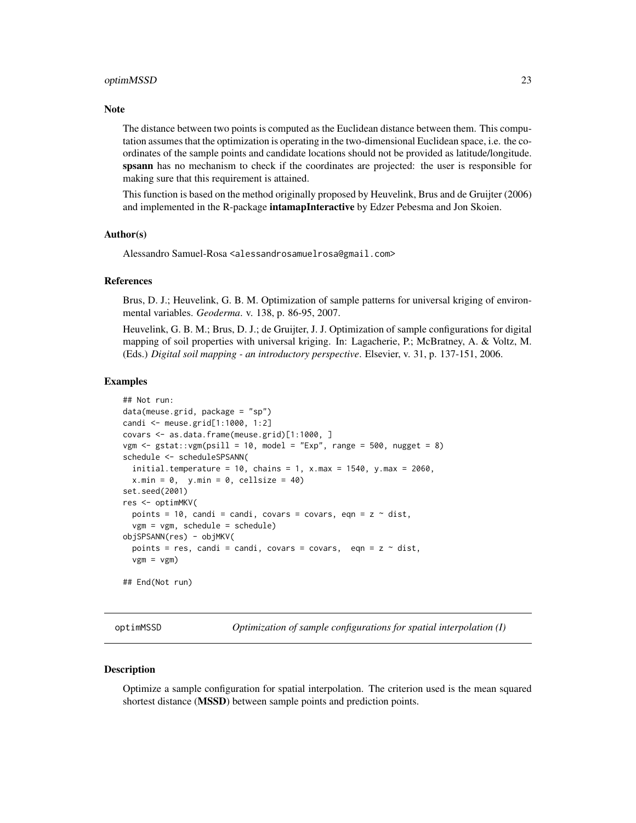#### <span id="page-22-0"></span>optimMSSD 23

#### **Note**

The distance between two points is computed as the Euclidean distance between them. This computation assumes that the optimization is operating in the two-dimensional Euclidean space, i.e. the coordinates of the sample points and candidate locations should not be provided as latitude/longitude. spsann has no mechanism to check if the coordinates are projected: the user is responsible for making sure that this requirement is attained.

This function is based on the method originally proposed by Heuvelink, Brus and de Gruijter (2006) and implemented in the R-package **intamapInteractive** by Edzer Pebesma and Jon Skoien.

# Author(s)

Alessandro Samuel-Rosa <alessandrosamuelrosa@gmail.com>

# References

Brus, D. J.; Heuvelink, G. B. M. Optimization of sample patterns for universal kriging of environmental variables. *Geoderma*. v. 138, p. 86-95, 2007.

Heuvelink, G. B. M.; Brus, D. J.; de Gruijter, J. J. Optimization of sample configurations for digital mapping of soil properties with universal kriging. In: Lagacherie, P.; McBratney, A. & Voltz, M. (Eds.) *Digital soil mapping - an introductory perspective*. Elsevier, v. 31, p. 137-151, 2006.

# Examples

```
## Not run:
data(meuse.grid, package = "sp")
candi <- meuse.grid[1:1000, 1:2]
covars <- as.data.frame(meuse.grid)[1:1000, ]
vgm \le gstat:: vgm(psill = 10, model = "Exp", range = 500, nugget = 8)
schedule <- scheduleSPSANN(
 initial.temperature = 10, chains = 1, x.max = 1540, y.max = 2060,
 x.min = 0, y.min = 0, cellsize = 40)set.seed(2001)
res <- optimMKV(
 points = 10, candi = candi, covars = covars, eqn = z \sim dist,
 vgm = vgm, schedule = schedule)
objSPSANN(res) - objMKV(
 points = res, candi = candi, covars = covars, eqn = z \sim dist,
 vgm = vgm)
## End(Not run)
```
<span id="page-22-1"></span>

optimMSSD *Optimization of sample configurations for spatial interpolation (I)*

# <span id="page-22-2"></span>Description

Optimize a sample configuration for spatial interpolation. The criterion used is the mean squared shortest distance (MSSD) between sample points and prediction points.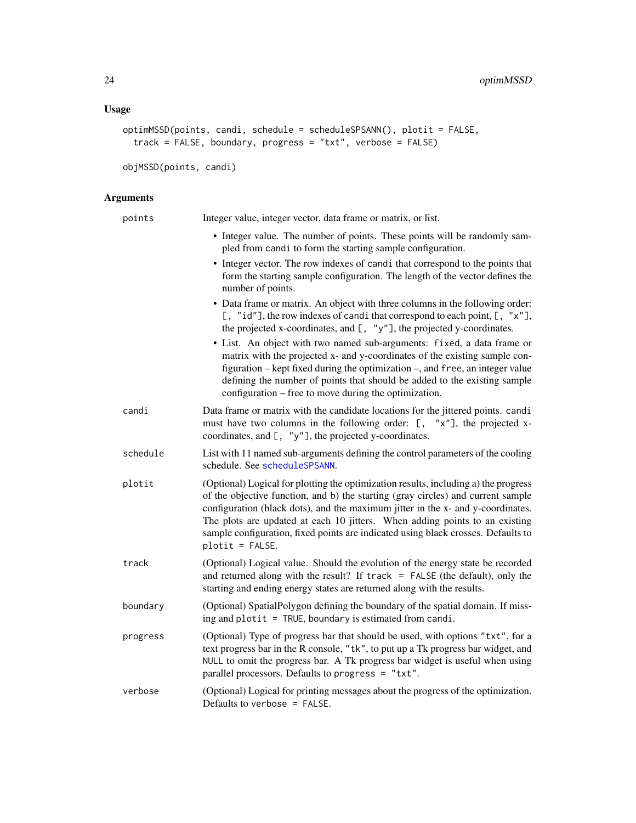```
optimMSSD(points, candi, schedule = scheduleSPSANN(), plotit = FALSE,
 track = FALSE, boundary, progress = "txt", verbose = FALSE)
```

```
objMSSD(points, candi)
```
# Arguments

| points   | Integer value, integer vector, data frame or matrix, or list.                                                                                                                                                                                                                                                                                                                                                                                       |
|----------|-----------------------------------------------------------------------------------------------------------------------------------------------------------------------------------------------------------------------------------------------------------------------------------------------------------------------------------------------------------------------------------------------------------------------------------------------------|
|          | • Integer value. The number of points. These points will be randomly sam-<br>pled from candi to form the starting sample configuration.                                                                                                                                                                                                                                                                                                             |
|          | • Integer vector. The row indexes of candi that correspond to the points that<br>form the starting sample configuration. The length of the vector defines the<br>number of points.                                                                                                                                                                                                                                                                  |
|          | • Data frame or matrix. An object with three columns in the following order:<br>[, "id"], the row indexes of candi that correspond to each point, [, "x"],<br>the projected x-coordinates, and $[$ , "y"], the projected y-coordinates.                                                                                                                                                                                                             |
|          | • List. An object with two named sub-arguments: fixed, a data frame or<br>matrix with the projected x- and y-coordinates of the existing sample con-<br>figuration – kept fixed during the optimization –, and free, an integer value<br>defining the number of points that should be added to the existing sample<br>configuration – free to move during the optimization.                                                                         |
| candi    | Data frame or matrix with the candidate locations for the jittered points. candi<br>must have two columns in the following order: $[ , "x" ]$ , the projected x-<br>coordinates, and $[$ , "y"], the projected y-coordinates.                                                                                                                                                                                                                       |
| schedule | List with 11 named sub-arguments defining the control parameters of the cooling<br>schedule. See scheduleSPSANN.                                                                                                                                                                                                                                                                                                                                    |
| plotit   | (Optional) Logical for plotting the optimization results, including a) the progress<br>of the objective function, and b) the starting (gray circles) and current sample<br>configuration (black dots), and the maximum jitter in the x- and y-coordinates.<br>The plots are updated at each 10 jitters. When adding points to an existing<br>sample configuration, fixed points are indicated using black crosses. Defaults to<br>$plotit = FALSE.$ |
| track    | (Optional) Logical value. Should the evolution of the energy state be recorded<br>and returned along with the result? If $track = FALSE$ (the default), only the<br>starting and ending energy states are returned along with the results.                                                                                                                                                                                                          |
| boundary | (Optional) SpatialPolygon defining the boundary of the spatial domain. If miss-<br>ing and plotit $=$ TRUE, boundary is estimated from candi.                                                                                                                                                                                                                                                                                                       |
| progress | (Optional) Type of progress bar that should be used, with options "txt", for a<br>text progress bar in the R console, "tk", to put up a Tk progress bar widget, and<br>NULL to omit the progress bar. A Tk progress bar widget is useful when using<br>parallel processors. Defaults to progress = "txt".                                                                                                                                           |
| verbose  | (Optional) Logical for printing messages about the progress of the optimization.<br>Defaults to verbose = FALSE.                                                                                                                                                                                                                                                                                                                                    |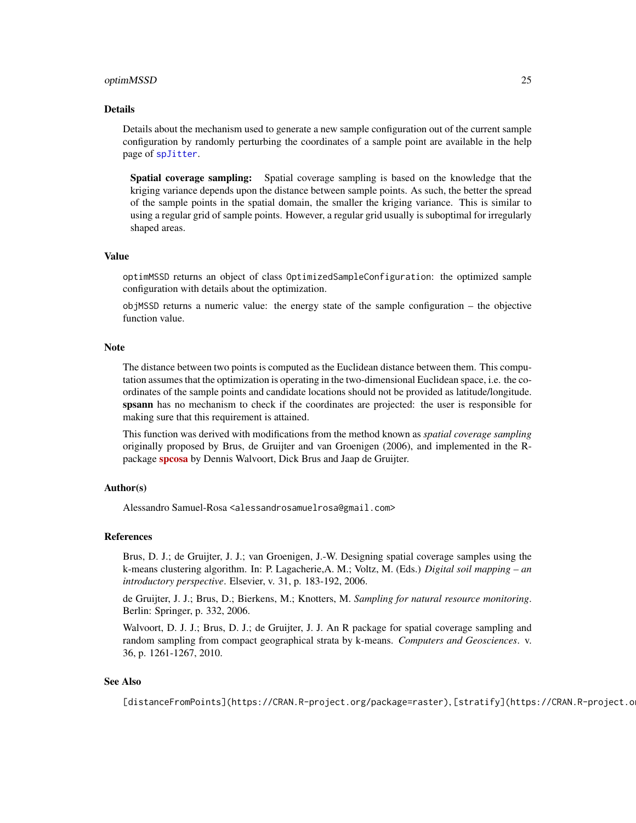#### <span id="page-24-0"></span>optimMSSD 25

#### Details

Details about the mechanism used to generate a new sample configuration out of the current sample configuration by randomly perturbing the coordinates of a sample point are available in the help page of [spJitter](#page-37-1).

Spatial coverage sampling: Spatial coverage sampling is based on the knowledge that the kriging variance depends upon the distance between sample points. As such, the better the spread of the sample points in the spatial domain, the smaller the kriging variance. This is similar to using a regular grid of sample points. However, a regular grid usually is suboptimal for irregularly shaped areas.

#### Value

optimMSSD returns an object of class OptimizedSampleConfiguration: the optimized sample configuration with details about the optimization.

objMSSD returns a numeric value: the energy state of the sample configuration – the objective function value.

#### Note

The distance between two points is computed as the Euclidean distance between them. This computation assumes that the optimization is operating in the two-dimensional Euclidean space, i.e. the coordinates of the sample points and candidate locations should not be provided as latitude/longitude. spsann has no mechanism to check if the coordinates are projected: the user is responsible for making sure that this requirement is attained.

This function was derived with modifications from the method known as *spatial coverage sampling* originally proposed by Brus, de Gruijter and van Groenigen (2006), and implemented in the Rpackage [spcosa](https://CRAN.R-project.org/package=spcosa) by Dennis Walvoort, Dick Brus and Jaap de Gruijter.

#### Author(s)

Alessandro Samuel-Rosa <alessandrosamuelrosa@gmail.com>

#### References

Brus, D. J.; de Gruijter, J. J.; van Groenigen, J.-W. Designing spatial coverage samples using the k-means clustering algorithm. In: P. Lagacherie,A. M.; Voltz, M. (Eds.) *Digital soil mapping – an introductory perspective*. Elsevier, v. 31, p. 183-192, 2006.

de Gruijter, J. J.; Brus, D.; Bierkens, M.; Knotters, M. *Sampling for natural resource monitoring*. Berlin: Springer, p. 332, 2006.

Walvoort, D. J. J.; Brus, D. J.; de Gruijter, J. J. An R package for spatial coverage sampling and random sampling from compact geographical strata by k-means. *Computers and Geosciences*. v. 36, p. 1261-1267, 2010.

# See Also

[distanceFromPoints](https://CRAN.R-project.org/package=raster), [stratify](https://CRAN.R-project.o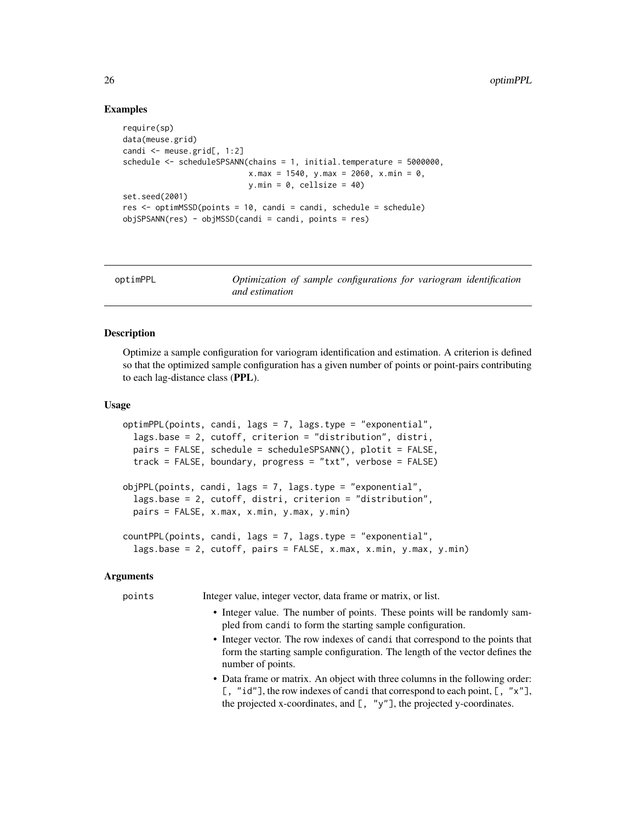# Examples

```
require(sp)
data(meuse.grid)
candi <- meuse.grid[, 1:2]
schedule <- scheduleSPSANN(chains = 1, initial.temperature = 5000000,
                           x.max = 1540, y.max = 2060, x.min = 0,y.min = 0, cellsize = 40)
set.seed(2001)
res <- optimMSSD(points = 10, candi = candi, schedule = schedule)
objSPSANN(res) - objMSSD(candi = candi, points = res)
```
<span id="page-25-1"></span>

| optimPPL |                |  | Optimization of sample configurations for variogram identification |  |  |
|----------|----------------|--|--------------------------------------------------------------------|--|--|
|          | and estimation |  |                                                                    |  |  |

# <span id="page-25-2"></span>**Description**

Optimize a sample configuration for variogram identification and estimation. A criterion is defined so that the optimized sample configuration has a given number of points or point-pairs contributing to each lag-distance class (PPL).

# Usage

```
optimPPL(points, candi, lags = 7, lags.type = "exponential",
  lags.base = 2, cutoff, criterion = "distribution", distri,
 pairs = FALSE, schedule = scheduleSPSANN(), plotit = FALSE,
  track = FALSE, boundary, progress = "txt", verbose = FALSE)
objPPL(points, candi, lags = 7, lags.type = "exponential",
  lags.base = 2, cutoff, distri, criterion = "distribution",
 pairs = FALSE, x.max, x.min, y.max, y.min)
countPPL(points, candi, lags = 7, lags.type = "exponential",
  lags.base = 2, cutoff, pairs = FALSE, x.max, x.min, y.max, y.min)
```
# Arguments

points Integer value, integer vector, data frame or matrix, or list.

- Integer value. The number of points. These points will be randomly sampled from candi to form the starting sample configuration.
- Integer vector. The row indexes of candi that correspond to the points that form the starting sample configuration. The length of the vector defines the number of points.
- Data frame or matrix. An object with three columns in the following order: [, "id"], the row indexes of candi that correspond to each point, [, "x"], the projected x-coordinates, and  $[$ , "y"], the projected y-coordinates.

<span id="page-25-0"></span>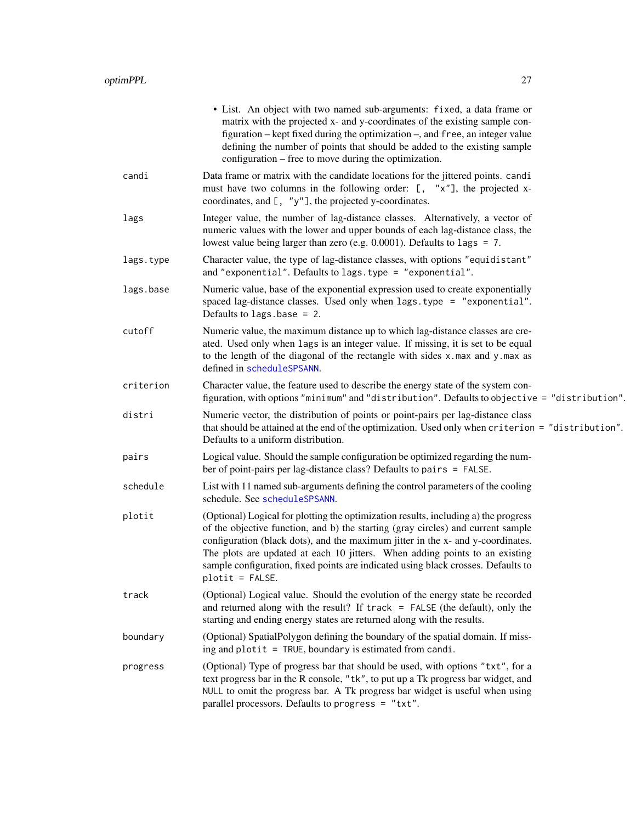<span id="page-26-0"></span>

|           | • List. An object with two named sub-arguments: fixed, a data frame or<br>matrix with the projected x- and y-coordinates of the existing sample con-<br>figuration – kept fixed during the optimization –, and free, an integer value<br>defining the number of points that should be added to the existing sample<br>configuration – free to move during the optimization.                                                                         |
|-----------|-----------------------------------------------------------------------------------------------------------------------------------------------------------------------------------------------------------------------------------------------------------------------------------------------------------------------------------------------------------------------------------------------------------------------------------------------------|
| candi     | Data frame or matrix with the candidate locations for the jittered points. candi<br>must have two columns in the following order: [, "x"], the projected x-<br>coordinates, and [, "y"], the projected y-coordinates.                                                                                                                                                                                                                               |
| lags      | Integer value, the number of lag-distance classes. Alternatively, a vector of<br>numeric values with the lower and upper bounds of each lag-distance class, the<br>lowest value being larger than zero (e.g. $0.0001$ ). Defaults to lags = 7.                                                                                                                                                                                                      |
| lags.type | Character value, the type of lag-distance classes, with options "equidistant"<br>and "exponential". Defaults to lags. type = "exponential".                                                                                                                                                                                                                                                                                                         |
| lags.base | Numeric value, base of the exponential expression used to create exponentially<br>spaced lag-distance classes. Used only when lags.type = "exponential".<br>Defaults to $lags.\text{base} = 2$ .                                                                                                                                                                                                                                                    |
| cutoff    | Numeric value, the maximum distance up to which lag-distance classes are cre-<br>ated. Used only when lags is an integer value. If missing, it is set to be equal<br>to the length of the diagonal of the rectangle with sides x.max and y.max as<br>defined in scheduleSPSANN.                                                                                                                                                                     |
| criterion | Character value, the feature used to describe the energy state of the system con-<br>figuration, with options "minimum" and "distribution". Defaults to objective = "distribution".                                                                                                                                                                                                                                                                 |
| distri    | Numeric vector, the distribution of points or point-pairs per lag-distance class<br>that should be attained at the end of the optimization. Used only when criterion = "distribution".<br>Defaults to a uniform distribution.                                                                                                                                                                                                                       |
| pairs     | Logical value. Should the sample configuration be optimized regarding the num-<br>ber of point-pairs per lag-distance class? Defaults to pairs = FALSE.                                                                                                                                                                                                                                                                                             |
| schedule  | List with 11 named sub-arguments defining the control parameters of the cooling<br>schedule. See scheduleSPSANN.                                                                                                                                                                                                                                                                                                                                    |
| plotit    | (Optional) Logical for plotting the optimization results, including a) the progress<br>of the objective function, and b) the starting (gray circles) and current sample<br>configuration (black dots), and the maximum jitter in the x- and y-coordinates.<br>The plots are updated at each 10 jitters. When adding points to an existing<br>sample configuration, fixed points are indicated using black crosses. Defaults to<br>$plotit = FALSE.$ |
| track     | (Optional) Logical value. Should the evolution of the energy state be recorded<br>and returned along with the result? If $track = FALSE$ (the default), only the<br>starting and ending energy states are returned along with the results.                                                                                                                                                                                                          |
| boundary  | (Optional) SpatialPolygon defining the boundary of the spatial domain. If miss-<br>ing and plotit = TRUE, boundary is estimated from candi.                                                                                                                                                                                                                                                                                                         |
| progress  | (Optional) Type of progress bar that should be used, with options "txt", for a<br>text progress bar in the R console, "tk", to put up a Tk progress bar widget, and<br>NULL to omit the progress bar. A Tk progress bar widget is useful when using<br>parallel processors. Defaults to progress = "txt".                                                                                                                                           |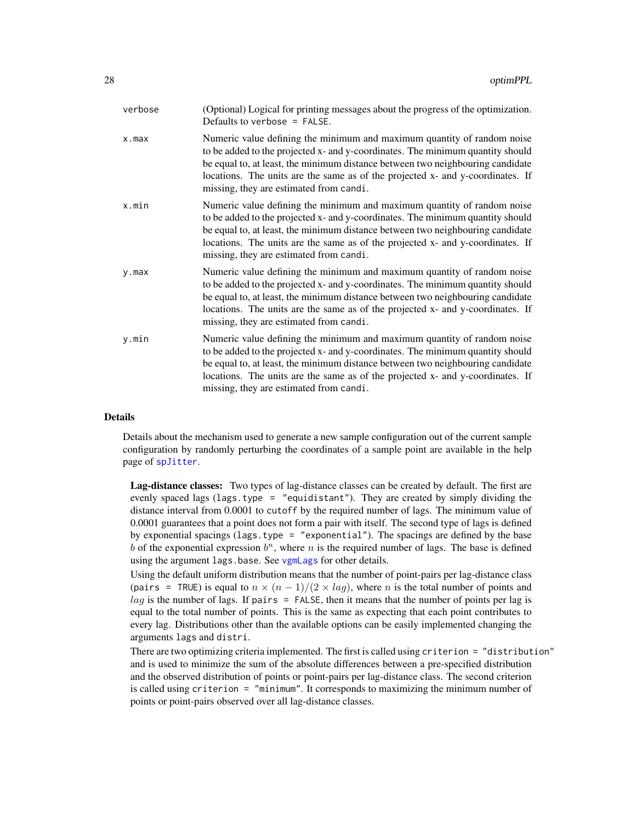<span id="page-27-0"></span>

| verbose   | (Optional) Logical for printing messages about the progress of the optimization.<br>Defaults to verbose = $FALSE.$                                                                                                                                                                                                                                                       |
|-----------|--------------------------------------------------------------------------------------------------------------------------------------------------------------------------------------------------------------------------------------------------------------------------------------------------------------------------------------------------------------------------|
| x.max     | Numeric value defining the minimum and maximum quantity of random noise<br>to be added to the projected x- and y-coordinates. The minimum quantity should<br>be equal to, at least, the minimum distance between two neighbouring candidate<br>locations. The units are the same as of the projected x- and y-coordinates. If<br>missing, they are estimated from candi. |
| x.min     | Numeric value defining the minimum and maximum quantity of random noise<br>to be added to the projected x- and y-coordinates. The minimum quantity should<br>be equal to, at least, the minimum distance between two neighbouring candidate<br>locations. The units are the same as of the projected x- and y-coordinates. If<br>missing, they are estimated from candi. |
| $y$ . max | Numeric value defining the minimum and maximum quantity of random noise<br>to be added to the projected x- and y-coordinates. The minimum quantity should<br>be equal to, at least, the minimum distance between two neighbouring candidate<br>locations. The units are the same as of the projected x- and y-coordinates. If<br>missing, they are estimated from candi. |
| y.min     | Numeric value defining the minimum and maximum quantity of random noise<br>to be added to the projected x- and y-coordinates. The minimum quantity should<br>be equal to, at least, the minimum distance between two neighbouring candidate<br>locations. The units are the same as of the projected x- and y-coordinates. If<br>missing, they are estimated from candi. |
|           |                                                                                                                                                                                                                                                                                                                                                                          |

# Details

Details about the mechanism used to generate a new sample configuration out of the current sample configuration by randomly perturbing the coordinates of a sample point are available in the help page of [spJitter](#page-37-1).

Lag-distance classes: Two types of lag-distance classes can be created by default. The first are evenly spaced lags (lags.type = "equidistant"). They are created by simply dividing the distance interval from 0.0001 to cutoff by the required number of lags. The minimum value of 0.0001 guarantees that a point does not form a pair with itself. The second type of lags is defined by exponential spacings (lags.type = "exponential"). The spacings are defined by the base b of the exponential expression  $b^n$ , where n is the required number of lags. The base is defined using the argument lags.base. See [vgmLags](#page-0-0) for other details.

Using the default uniform distribution means that the number of point-pairs per lag-distance class (pairs = TRUE) is equal to  $n \times (n-1)/(2 \times lag)$ , where n is the total number of points and  $lag$  is the number of lags. If pairs = FALSE, then it means that the number of points per lag is equal to the total number of points. This is the same as expecting that each point contributes to every lag. Distributions other than the available options can be easily implemented changing the arguments lags and distri.

There are two optimizing criteria implemented. The first is called using criterion = "distribution" and is used to minimize the sum of the absolute differences between a pre-specified distribution and the observed distribution of points or point-pairs per lag-distance class. The second criterion is called using criterion = "minimum". It corresponds to maximizing the minimum number of points or point-pairs observed over all lag-distance classes.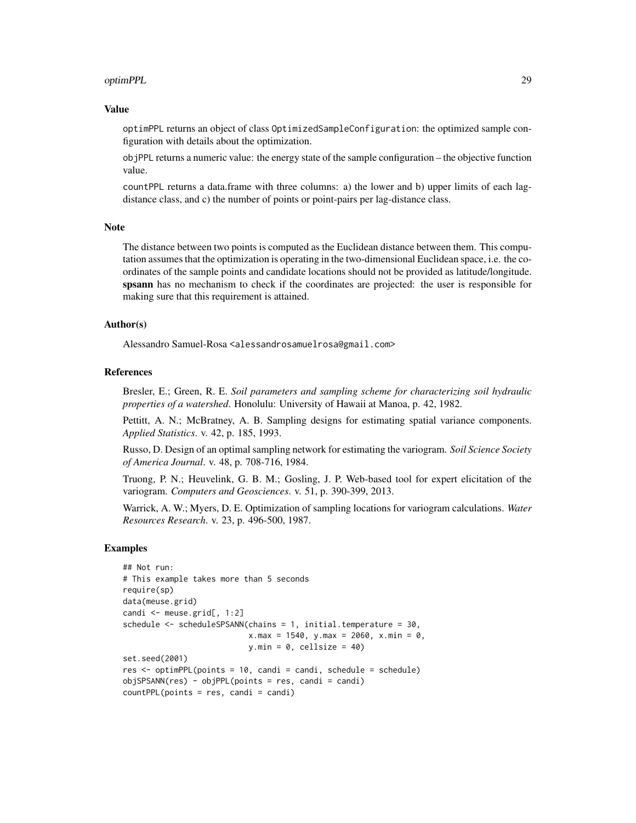#### optimPPL 29

#### Value

optimPPL returns an object of class OptimizedSampleConfiguration: the optimized sample configuration with details about the optimization.

objPPL returns a numeric value: the energy state of the sample configuration – the objective function value.

countPPL returns a data.frame with three columns: a) the lower and b) upper limits of each lagdistance class, and c) the number of points or point-pairs per lag-distance class.

## Note

The distance between two points is computed as the Euclidean distance between them. This computation assumes that the optimization is operating in the two-dimensional Euclidean space, i.e. the coordinates of the sample points and candidate locations should not be provided as latitude/longitude. spsann has no mechanism to check if the coordinates are projected: the user is responsible for making sure that this requirement is attained.

# Author(s)

Alessandro Samuel-Rosa <alessandrosamuelrosa@gmail.com>

# References

Bresler, E.; Green, R. E. *Soil parameters and sampling scheme for characterizing soil hydraulic properties of a watershed*. Honolulu: University of Hawaii at Manoa, p. 42, 1982.

Pettitt, A. N.; McBratney, A. B. Sampling designs for estimating spatial variance components. *Applied Statistics*. v. 42, p. 185, 1993.

Russo, D. Design of an optimal sampling network for estimating the variogram. *Soil Science Society of America Journal*. v. 48, p. 708-716, 1984.

Truong, P. N.; Heuvelink, G. B. M.; Gosling, J. P. Web-based tool for expert elicitation of the variogram. *Computers and Geosciences*. v. 51, p. 390-399, 2013.

Warrick, A. W.; Myers, D. E. Optimization of sampling locations for variogram calculations. *Water Resources Research*. v. 23, p. 496-500, 1987.

# Examples

```
## Not run:
# This example takes more than 5 seconds
require(sp)
data(meuse.grid)
candi <- meuse.grid[, 1:2]
schedule <- scheduleSPSANN(chains = 1, initial.temperature = 30,
                           x.max = 1540, y.max = 2060, x.min = 0,
                           y.min = 0, cellsize = 40)
set.seed(2001)
res \leq optimPPL(points = 10, candi = candi, schedule = schedule)
objSPSANN(res) - objPPL(points = res, candi = candi)
countPPL(points = res, candi = candi)
```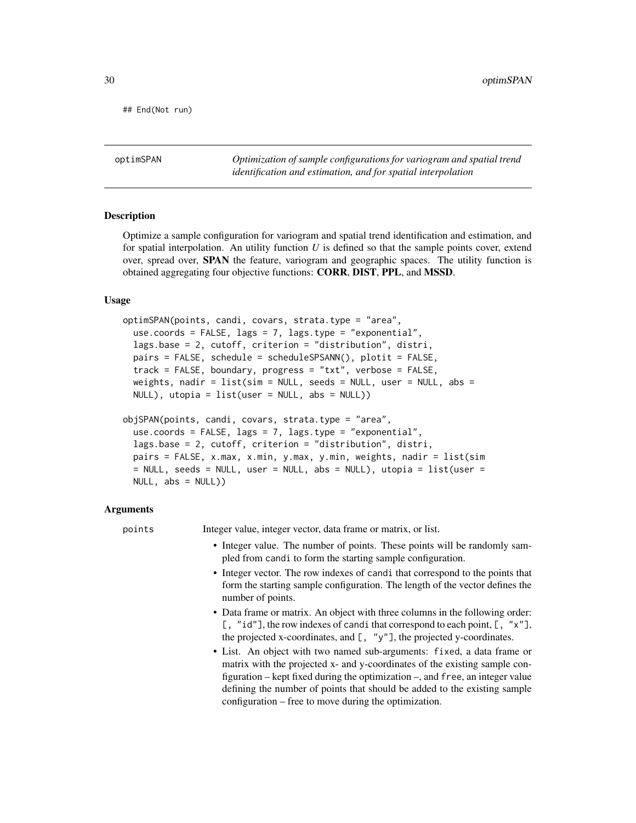<span id="page-29-0"></span>## End(Not run)

<span id="page-29-1"></span>optimSPAN *Optimization of sample configurations for variogram and spatial trend identification and estimation, and for spatial interpolation*

# <span id="page-29-2"></span>Description

Optimize a sample configuration for variogram and spatial trend identification and estimation, and for spatial interpolation. An utility function *U* is defined so that the sample points cover, extend over, spread over, SPAN the feature, variogram and geographic spaces. The utility function is obtained aggregating four objective functions: CORR, DIST, PPL, and MSSD.

#### Usage

```
optimSPAN(points, candi, covars, strata.type = "area",
  use.coords = FALSE, lags = 7, lags.type = "exponential",
  lags.base = 2, cutoff, criterion = "distribution", distri,
  pairs = FALSE, schedule = scheduleSPSANN(), plotit = FALSE,
  track = FALSE, boundary, progress = "txt", verbose = FALSE,
  weights, nadir = list(sim = NULL, seeds = NULL, user = NULL, abs =
 NULL, utopia = list(user = NULL, abs = NULL))
objSPAN(points, candi, covars, strata.type = "area",
  use.coords = FALSE, lags = 7, lags.type = "exponential",
  lags.base = 2, cutoff, criterion = "distribution", distri,
 pairs = FALSE, x.max, x.min, y.max, y.min, weights, nadir = list(sim
  = NULL, seeds = NULL, user = NULL, abs = NULL), utopia = list(user =
```
#### Arguments

 $NULL, abs = NULL)$ 

points Integer value, integer vector, data frame or matrix, or list.

- Integer value. The number of points. These points will be randomly sampled from candi to form the starting sample configuration.
- Integer vector. The row indexes of candi that correspond to the points that form the starting sample configuration. The length of the vector defines the number of points.
- Data frame or matrix. An object with three columns in the following order: [, "id"], the row indexes of candi that correspond to each point,  $[$ , " $x$ "], the projected x-coordinates, and  $[$ ,  $"y"$ ], the projected y-coordinates.
- List. An object with two named sub-arguments: fixed, a data frame or matrix with the projected x- and y-coordinates of the existing sample configuration – kept fixed during the optimization –, and free, an integer value defining the number of points that should be added to the existing sample configuration – free to move during the optimization.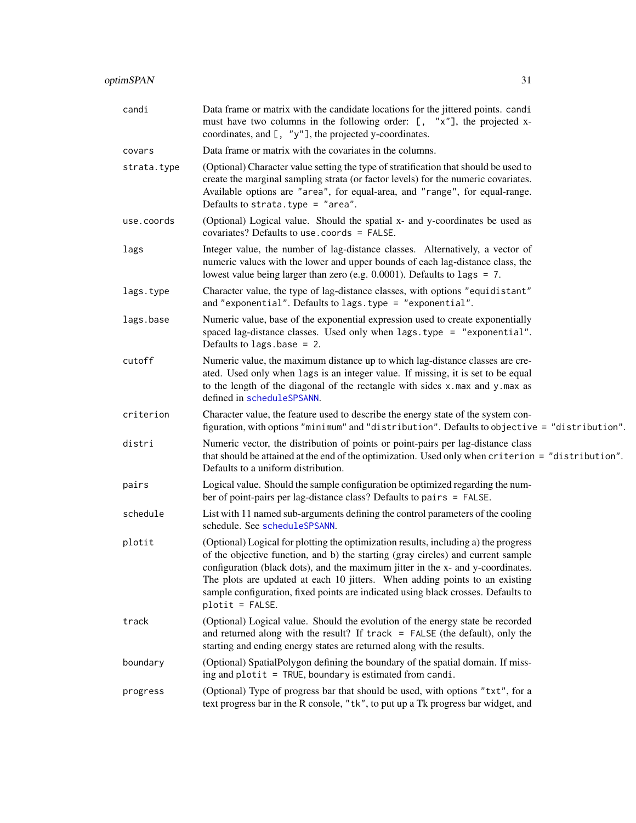<span id="page-30-0"></span>

| candi       | Data frame or matrix with the candidate locations for the jittered points. candi<br>must have two columns in the following order: [, "x"], the projected x-<br>coordinates, and $[$ , "y"], the projected y-coordinates.                                                                                                                                                                                                                            |
|-------------|-----------------------------------------------------------------------------------------------------------------------------------------------------------------------------------------------------------------------------------------------------------------------------------------------------------------------------------------------------------------------------------------------------------------------------------------------------|
| covars      | Data frame or matrix with the covariates in the columns.                                                                                                                                                                                                                                                                                                                                                                                            |
| strata.type | (Optional) Character value setting the type of stratification that should be used to<br>create the marginal sampling strata (or factor levels) for the numeric covariates.<br>Available options are "area", for equal-area, and "range", for equal-range.<br>Defaults to strata.type = "area".                                                                                                                                                      |
| use.coords  | (Optional) Logical value. Should the spatial x- and y-coordinates be used as<br>covariates? Defaults to use.coords = FALSE.                                                                                                                                                                                                                                                                                                                         |
| lags        | Integer value, the number of lag-distance classes. Alternatively, a vector of<br>numeric values with the lower and upper bounds of each lag-distance class, the<br>lowest value being larger than zero (e.g. $0.0001$ ). Defaults to lags = 7.                                                                                                                                                                                                      |
| lags.type   | Character value, the type of lag-distance classes, with options "equidistant"<br>and "exponential". Defaults to lags. type = "exponential".                                                                                                                                                                                                                                                                                                         |
| lags.base   | Numeric value, base of the exponential expression used to create exponentially<br>spaced lag-distance classes. Used only when lags.type = "exponential".<br>Defaults to $lags.\text{base} = 2$ .                                                                                                                                                                                                                                                    |
| cutoff      | Numeric value, the maximum distance up to which lag-distance classes are cre-<br>ated. Used only when lags is an integer value. If missing, it is set to be equal<br>to the length of the diagonal of the rectangle with sides x.max and y.max as<br>defined in scheduleSPSANN.                                                                                                                                                                     |
| criterion   | Character value, the feature used to describe the energy state of the system con-<br>figuration, with options "minimum" and "distribution". Defaults to objective = "distribution".                                                                                                                                                                                                                                                                 |
| distri      | Numeric vector, the distribution of points or point-pairs per lag-distance class<br>that should be attained at the end of the optimization. Used only when criterion = "distribution".<br>Defaults to a uniform distribution.                                                                                                                                                                                                                       |
| pairs       | Logical value. Should the sample configuration be optimized regarding the num-<br>ber of point-pairs per lag-distance class? Defaults to pairs = FALSE.                                                                                                                                                                                                                                                                                             |
| schedule    | List with 11 named sub-arguments defining the control parameters of the cooling<br>schedule. See scheduleSPSANN.                                                                                                                                                                                                                                                                                                                                    |
| plotit      | (Optional) Logical for plotting the optimization results, including a) the progress<br>of the objective function, and b) the starting (gray circles) and current sample<br>configuration (black dots), and the maximum jitter in the x- and y-coordinates.<br>The plots are updated at each 10 jitters. When adding points to an existing<br>sample configuration, fixed points are indicated using black crosses. Defaults to<br>$plotit = FALSE.$ |
| track       | (Optional) Logical value. Should the evolution of the energy state be recorded<br>and returned along with the result? If $track = FALSE$ (the default), only the<br>starting and ending energy states are returned along with the results.                                                                                                                                                                                                          |
| boundary    | (Optional) SpatialPolygon defining the boundary of the spatial domain. If miss-<br>ing and plotit = TRUE, boundary is estimated from candi.                                                                                                                                                                                                                                                                                                         |
| progress    | (Optional) Type of progress bar that should be used, with options "txt", for a<br>text progress bar in the R console, "tk", to put up a Tk progress bar widget, and                                                                                                                                                                                                                                                                                 |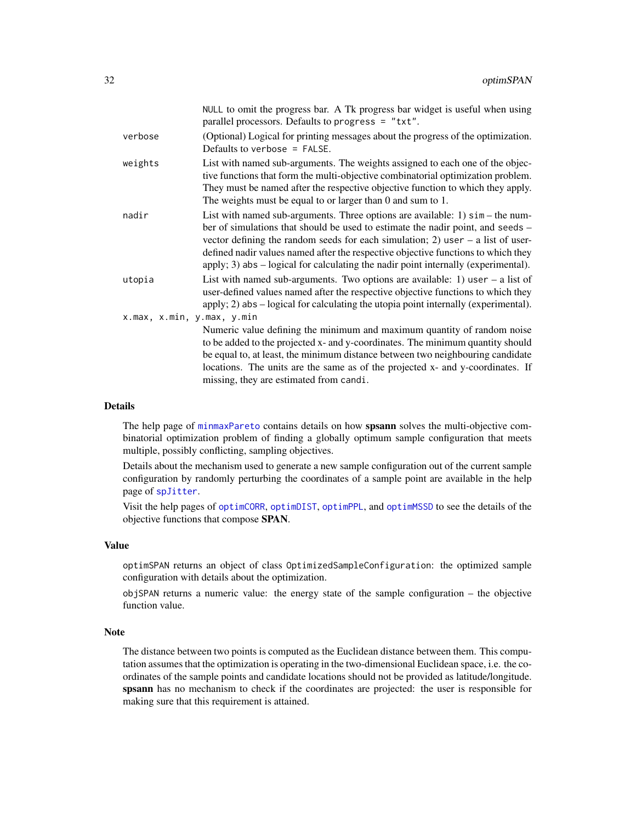<span id="page-31-0"></span>

|                            | NULL to omit the progress bar. A Tk progress bar widget is useful when using<br>parallel processors. Defaults to progress = "txt".                                                                                                                                                                                                                                                                                                     |
|----------------------------|----------------------------------------------------------------------------------------------------------------------------------------------------------------------------------------------------------------------------------------------------------------------------------------------------------------------------------------------------------------------------------------------------------------------------------------|
| verbose                    | (Optional) Logical for printing messages about the progress of the optimization.<br>Defaults to verbose $=$ FALSE.                                                                                                                                                                                                                                                                                                                     |
| weights                    | List with named sub-arguments. The weights assigned to each one of the objec-<br>tive functions that form the multi-objective combinatorial optimization problem.<br>They must be named after the respective objective function to which they apply.<br>The weights must be equal to or larger than $0$ and sum to $1$ .                                                                                                               |
| nadir                      | List with named sub-arguments. Three options are available: $1$ ) $\sin$ – the num-<br>ber of simulations that should be used to estimate the nadir point, and seeds –<br>vector defining the random seeds for each simulation; 2) user $-$ a list of user-<br>defined nadir values named after the respective objective functions to which they<br>apply; 3) abs – logical for calculating the nadir point internally (experimental). |
| utopia                     | List with named sub-arguments. Two options are available: 1) user $-$ a list of<br>user-defined values named after the respective objective functions to which they<br>apply; 2) abs – logical for calculating the utopia point internally (experimental).                                                                                                                                                                             |
| x.max, x.min, y.max, y.min | Numeric value defining the minimum and maximum quantity of random noise<br>to be added to the projected x- and y-coordinates. The minimum quantity should<br>be equal to, at least, the minimum distance between two neighbouring candidate<br>locations. The units are the same as of the projected x- and y-coordinates. If<br>missing, they are estimated from candi.                                                               |
|                            |                                                                                                                                                                                                                                                                                                                                                                                                                                        |

# Details

The help page of [minmaxPareto](#page-4-1) contains details on how spsann solves the multi-objective combinatorial optimization problem of finding a globally optimum sample configuration that meets multiple, possibly conflicting, sampling objectives.

Details about the mechanism used to generate a new sample configuration out of the current sample configuration by randomly perturbing the coordinates of a sample point are available in the help page of [spJitter](#page-37-1).

Visit the help pages of [optimCORR](#page-14-1), [optimDIST](#page-17-1), [optimPPL](#page-25-1), and [optimMSSD](#page-22-1) to see the details of the objective functions that compose SPAN.

#### Value

optimSPAN returns an object of class OptimizedSampleConfiguration: the optimized sample configuration with details about the optimization.

objSPAN returns a numeric value: the energy state of the sample configuration – the objective function value.

# Note

The distance between two points is computed as the Euclidean distance between them. This computation assumes that the optimization is operating in the two-dimensional Euclidean space, i.e. the coordinates of the sample points and candidate locations should not be provided as latitude/longitude. spsann has no mechanism to check if the coordinates are projected: the user is responsible for making sure that this requirement is attained.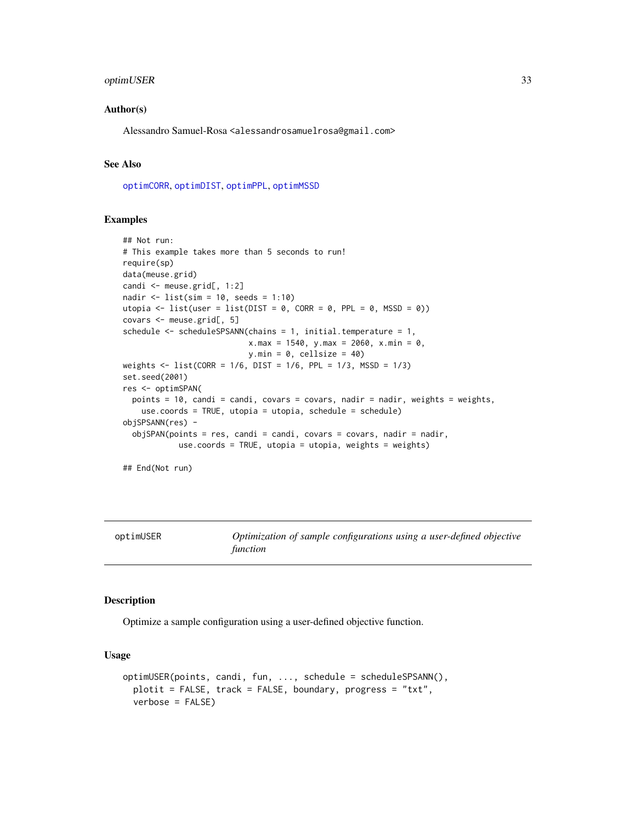# <span id="page-32-0"></span>optimUSER 33

# Author(s)

Alessandro Samuel-Rosa <alessandrosamuelrosa@gmail.com>

# See Also

[optimCORR](#page-14-1), [optimDIST](#page-17-1), [optimPPL](#page-25-1), [optimMSSD](#page-22-1)

#### Examples

```
## Not run:
# This example takes more than 5 seconds to run!
require(sp)
data(meuse.grid)
candi <- meuse.grid[, 1:2]
nadir <- list(sim = 10, seeds = 1:10)
utopia <- list(user = list(DIST = 0, CORR = 0, PPL = 0, MSSD = 0))
covars <- meuse.grid[, 5]
schedule <- scheduleSPSANN(chains = 1, initial.temperature = 1,
                           x.max = 1540, y.max = 2060, x.min = 0,
                           y.min = 0, cellsize = 40)
weights <- list(CORR = 1/6, DIST = 1/6, PPL = 1/3, MSSD = 1/3)
set.seed(2001)
res <- optimSPAN(
  points = 10, candi = candi, covars = covars, nadir = nadir, weights = weights,
    use.coords = TRUE, utopia = utopia, schedule = schedule)
objSPSANN(res) -
  objSPAN(points = res, candi = candi, covars = covars, nadir = nadir,use.coords = TRUE, utopia = utopia, weights = weights)
```
## End(Not run)

<span id="page-32-1"></span>

| optimUSER |  |
|-----------|--|
|-----------|--|

Optimization of sample configurations using a user-defined objective *function*

## Description

Optimize a sample configuration using a user-defined objective function.

#### Usage

```
optimUSER(points, candi, fun, ..., schedule = scheduleSPSANN(),
 plotit = FALSE, track = FALSE, boundary, progress = "txt",
  verbose = FALSE)
```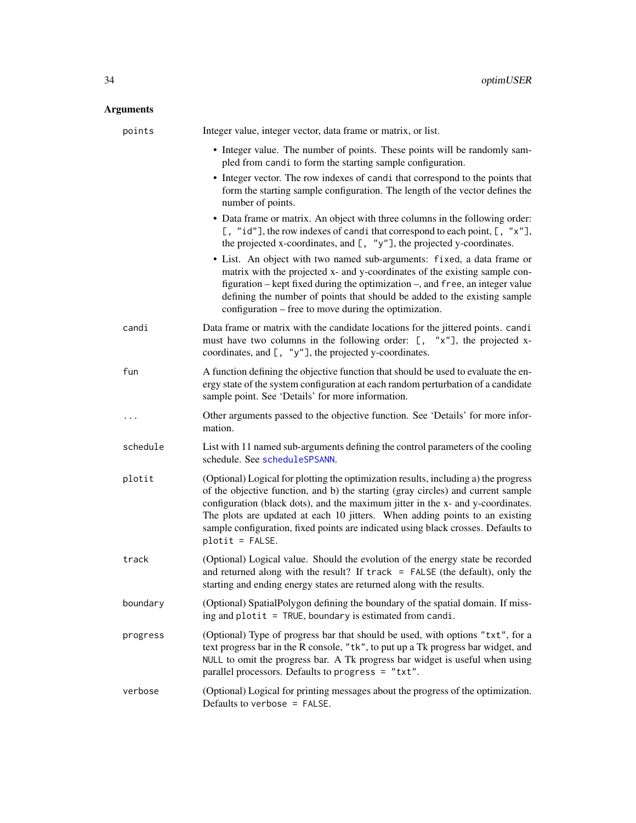# <span id="page-33-0"></span>Arguments

| points   | Integer value, integer vector, data frame or matrix, or list.                                                                                                                                                                                                                                                                                                                                                                                     |
|----------|---------------------------------------------------------------------------------------------------------------------------------------------------------------------------------------------------------------------------------------------------------------------------------------------------------------------------------------------------------------------------------------------------------------------------------------------------|
|          | • Integer value. The number of points. These points will be randomly sam-<br>pled from candi to form the starting sample configuration.                                                                                                                                                                                                                                                                                                           |
|          | • Integer vector. The row indexes of candi that correspond to the points that<br>form the starting sample configuration. The length of the vector defines the<br>number of points.                                                                                                                                                                                                                                                                |
|          | • Data frame or matrix. An object with three columns in the following order:<br>[, "id"], the row indexes of candi that correspond to each point, [, "x"],<br>the projected x-coordinates, and $[$ , "y"], the projected y-coordinates.                                                                                                                                                                                                           |
|          | • List. An object with two named sub-arguments: fixed, a data frame or<br>matrix with the projected x- and y-coordinates of the existing sample con-<br>figuration – kept fixed during the optimization –, and free, an integer value<br>defining the number of points that should be added to the existing sample<br>configuration – free to move during the optimization.                                                                       |
| candi    | Data frame or matrix with the candidate locations for the jittered points. candi<br>must have two columns in the following order: [, "x"], the projected x-<br>coordinates, and $[$ , "y"], the projected y-coordinates.                                                                                                                                                                                                                          |
| fun      | A function defining the objective function that should be used to evaluate the en-<br>ergy state of the system configuration at each random perturbation of a candidate<br>sample point. See 'Details' for more information.                                                                                                                                                                                                                      |
| .        | Other arguments passed to the objective function. See 'Details' for more infor-<br>mation.                                                                                                                                                                                                                                                                                                                                                        |
| schedule | List with 11 named sub-arguments defining the control parameters of the cooling<br>schedule. See scheduleSPSANN.                                                                                                                                                                                                                                                                                                                                  |
| plotit   | (Optional) Logical for plotting the optimization results, including a) the progress<br>of the objective function, and b) the starting (gray circles) and current sample<br>configuration (black dots), and the maximum jitter in the x- and y-coordinates.<br>The plots are updated at each 10 jitters. When adding points to an existing<br>sample configuration, fixed points are indicated using black crosses. Defaults to<br>plotit = FALSE. |
| track    | (Optional) Logical value. Should the evolution of the energy state be recorded<br>and returned along with the result? If $track = FALSE$ (the default), only the<br>starting and ending energy states are returned along with the results.                                                                                                                                                                                                        |
| boundary | (Optional) SpatialPolygon defining the boundary of the spatial domain. If miss-<br>ing and plotit = TRUE, boundary is estimated from candi.                                                                                                                                                                                                                                                                                                       |
| progress | (Optional) Type of progress bar that should be used, with options "txt", for a<br>text progress bar in the R console, "tk", to put up a Tk progress bar widget, and<br>NULL to omit the progress bar. A Tk progress bar widget is useful when using<br>parallel processors. Defaults to progress = "txt".                                                                                                                                         |
| verbose  | (Optional) Logical for printing messages about the progress of the optimization.<br>Defaults to verbose = FALSE.                                                                                                                                                                                                                                                                                                                                  |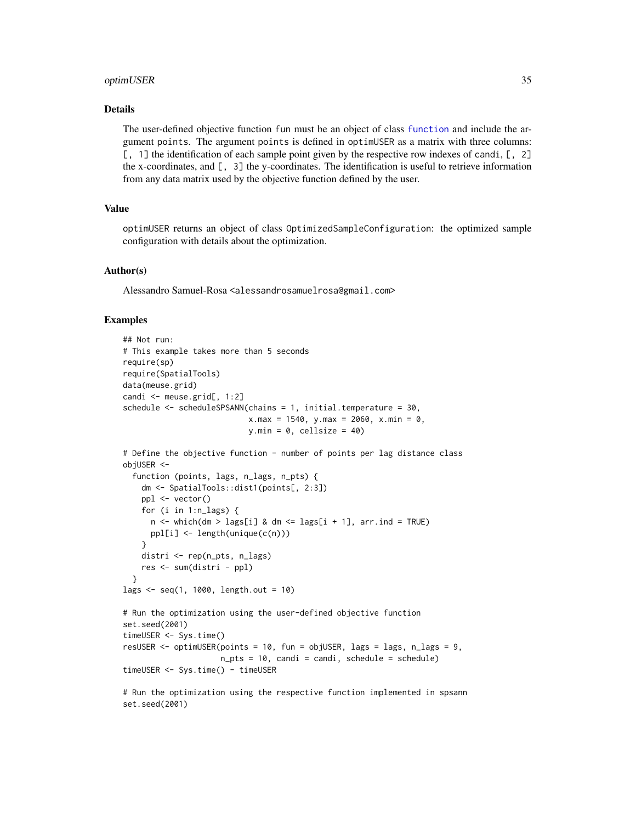## <span id="page-34-0"></span>optimUSER 35

## Details

The user-defined objective function fun must be an object of class [function](#page-0-0) and include the argument points. The argument points is defined in optimUSER as a matrix with three columns: [, 1] the identification of each sample point given by the respective row indexes of candi, [, 2] the x-coordinates, and [, 3] the y-coordinates. The identification is useful to retrieve information from any data matrix used by the objective function defined by the user.

# Value

optimUSER returns an object of class OptimizedSampleConfiguration: the optimized sample configuration with details about the optimization.

# Author(s)

Alessandro Samuel-Rosa <alessandrosamuelrosa@gmail.com>

# Examples

set.seed(2001)

```
## Not run:
# This example takes more than 5 seconds
require(sp)
require(SpatialTools)
data(meuse.grid)
candi <- meuse.grid[, 1:2]
schedule \leq scheduleSPSANN(chains = 1, initial.temperature = 30,
                           x.max = 1540, y.max = 2060, x.min = 0,
                           y.min = 0, cellsize = 40)
# Define the objective function - number of points per lag distance class
objUSER <-
  function (points, lags, n_lags, n_pts) {
    dm <- SpatialTools::dist1(points[, 2:3])
    ppl <- vector()
    for (i in 1:n_lags) {
      n \leq which(dm > lags[i] & dm \leq lags[i + 1], arr.ind = TRUE)
      ppl[i] <- length(unique(c(n)))
    }
    distri <- rep(n_pts, n_lags)
    res <- sum(distri - ppl)
  }
lags <- seq(1, 1000, length.out = 10)
# Run the optimization using the user-defined objective function
set.seed(2001)
timeUSER <- Sys.time()
resUSER <- optimUSER(points = 10, fun = objUSER, lags = lags, n_lags = 9,
                     n_{\text{pts}} = 10, candi = candi, schedule = schedule)
timeUSER <- Sys.time() - timeUSER
# Run the optimization using the respective function implemented in spsann
```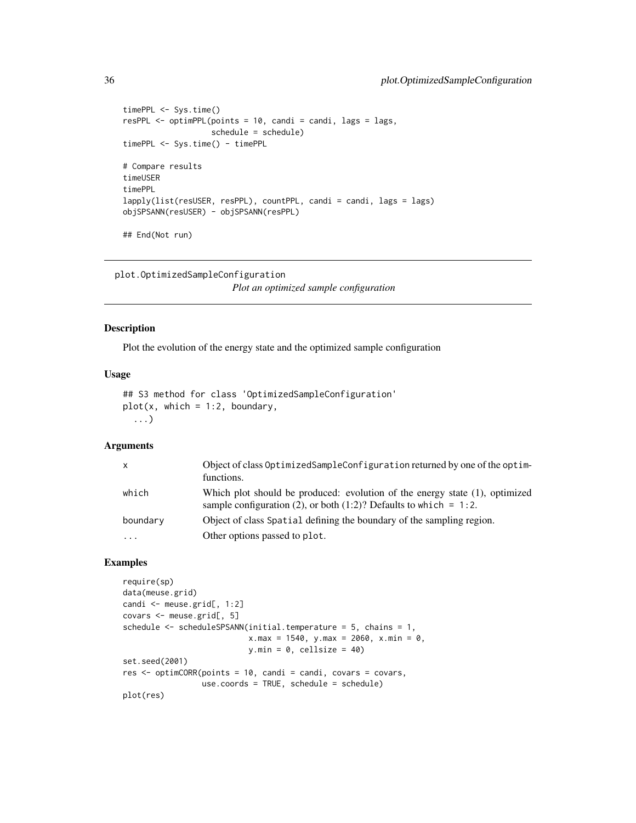```
timePPL <- Sys.time()
resPPL <- optimPPL(points = 10, candi = candi, lags = lags,
                   schedule = schedule)
timePPL <- Sys.time() - timePPL
# Compare results
timeUSER
timePPL
lapply(list(resUSER, resPPL), countPPL, candi = candi, lags = lags)
objSPSANN(resUSER) - objSPSANN(resPPL)
## End(Not run)
```
plot.OptimizedSampleConfiguration

*Plot an optimized sample configuration*

#### <span id="page-35-1"></span>Description

Plot the evolution of the energy state and the optimized sample configuration

## Usage

```
## S3 method for class 'OptimizedSampleConfiguration'
plot(x, which = 1:2, boundary,...)
```
# Arguments

| $\mathsf{x}$ | Object of class OptimizedSampleConfiguration returned by one of the optim-<br>functions.                                                         |
|--------------|--------------------------------------------------------------------------------------------------------------------------------------------------|
| which        | Which plot should be produced: evolution of the energy state (1), optimized<br>sample configuration (2), or both (1:2)? Defaults to which = 1:2. |
| boundary     | Object of class Spatial defining the boundary of the sampling region.                                                                            |
| $\cdots$     | Other options passed to plot.                                                                                                                    |

#### Examples

```
require(sp)
data(meuse.grid)
candi <- meuse.grid[, 1:2]
covars <- meuse.grid[, 5]
schedule <- scheduleSPSANN(initial.temperature = 5, chains = 1,
                           x.max = 1540, y.max = 2060, x.min = 0,
                           y.min = 0, cellsize = 40)
set.seed(2001)
res <- optimCORR(points = 10, candi = candi, covars = covars,
                 use.coords = TRUE, schedule = schedule)
plot(res)
```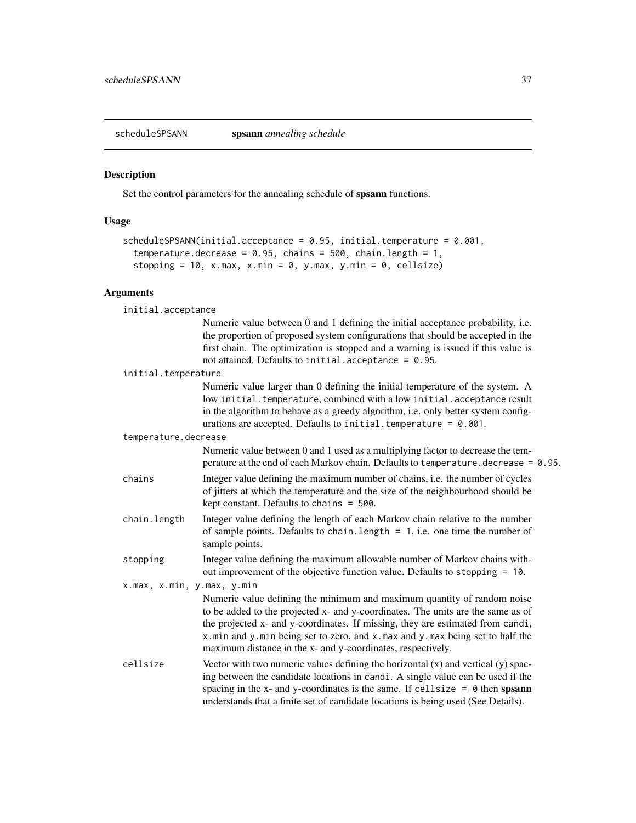<span id="page-36-1"></span><span id="page-36-0"></span>

#### **Description**

Set the control parameters for the annealing schedule of **spsann** functions.

# Usage

```
scheduleSPSANN(initial.acceptance = 0.95, initial.temperature = 0.001,
 temperature.decrease = 0.95, chains = 500, chain.length = 1,
 stopping = 10, x.max, x.min = 0, y.max, y.min = 0, cellsize)
```
# Arguments

| initial.acceptance |  |
|--------------------|--|
|                    |  |

| Numeric value between 0 and 1 defining the initial acceptance probability, i.e.   |
|-----------------------------------------------------------------------------------|
| the proportion of proposed system configurations that should be accepted in the   |
| first chain. The optimization is stopped and a warning is issued if this value is |
| not attained. Defaults to <code>initial.acceptance = 0.95.</code>                 |

initial.temperature

Numeric value larger than 0 defining the initial temperature of the system. A low initial.temperature, combined with a low initial.acceptance result in the algorithm to behave as a greedy algorithm, i.e. only better system configurations are accepted. Defaults to initial.temperature = 0.001.

#### temperature.decrease

Numeric value between 0 and 1 used as a multiplying factor to decrease the temperature at the end of each Markov chain. Defaults to temperature.decrease = 0.95.

- chains Integer value defining the maximum number of chains, i.e. the number of cycles of jitters at which the temperature and the size of the neighbourhood should be kept constant. Defaults to chains = 500.
- chain.length Integer value defining the length of each Markov chain relative to the number of sample points. Defaults to chain. length  $= 1$ , i.e. one time the number of sample points.
- stopping Integer value defining the maximum allowable number of Markov chains without improvement of the objective function value. Defaults to stopping = 10.

x.max, x.min, y.max, y.min

Numeric value defining the minimum and maximum quantity of random noise to be added to the projected x- and y-coordinates. The units are the same as of the projected x- and y-coordinates. If missing, they are estimated from candi, x.min and y.min being set to zero, and x.max and y.max being set to half the maximum distance in the x- and y-coordinates, respectively.

cellsize Vector with two numeric values defining the horizontal  $(x)$  and vertical  $(y)$  spacing between the candidate locations in candi. A single value can be used if the spacing in the x- and y-coordinates is the same. If cellsize  $= 0$  then spsann understands that a finite set of candidate locations is being used (See Details).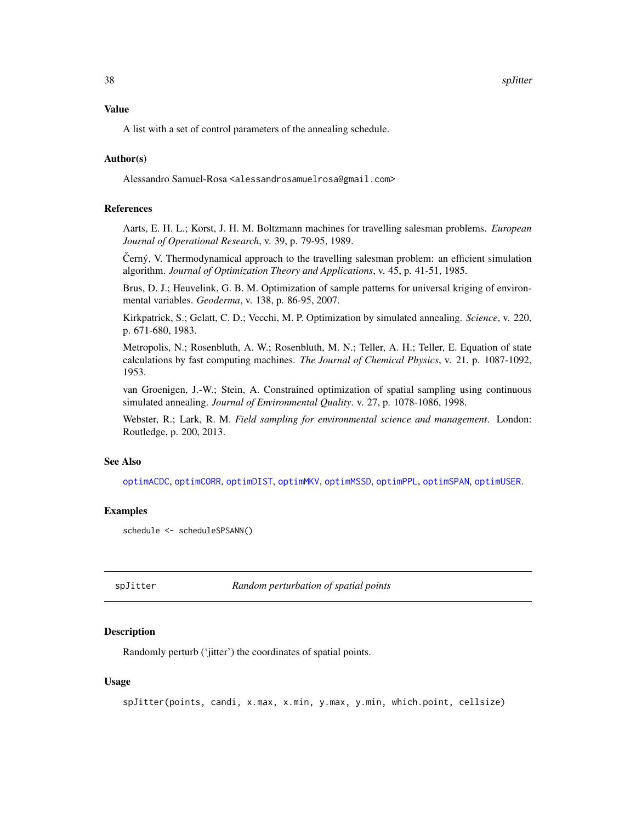<span id="page-37-0"></span>38 splitter and the space of the space of the space of the space of the space of the space of the space of the

#### Value

A list with a set of control parameters of the annealing schedule.

# Author(s)

Alessandro Samuel-Rosa <alessandrosamuelrosa@gmail.com>

# References

Aarts, E. H. L.; Korst, J. H. M. Boltzmann machines for travelling salesman problems. *European Journal of Operational Research*, v. 39, p. 79-95, 1989.

Černý, V. Thermodynamical approach to the travelling salesman problem: an efficient simulation algorithm. *Journal of Optimization Theory and Applications*, v. 45, p. 41-51, 1985.

Brus, D. J.; Heuvelink, G. B. M. Optimization of sample patterns for universal kriging of environmental variables. *Geoderma*, v. 138, p. 86-95, 2007.

Kirkpatrick, S.; Gelatt, C. D.; Vecchi, M. P. Optimization by simulated annealing. *Science*, v. 220, p. 671-680, 1983.

Metropolis, N.; Rosenbluth, A. W.; Rosenbluth, M. N.; Teller, A. H.; Teller, E. Equation of state calculations by fast computing machines. *The Journal of Chemical Physics*, v. 21, p. 1087-1092, 1953.

van Groenigen, J.-W.; Stein, A. Constrained optimization of spatial sampling using continuous simulated annealing. *Journal of Environmental Quality*. v. 27, p. 1078-1086, 1998.

Webster, R.; Lark, R. M. *Field sampling for environmental science and management*. London: Routledge, p. 200, 2013.

# See Also

[optimACDC](#page-7-1), [optimCORR](#page-14-1), [optimDIST](#page-17-1), [optimMKV](#page-20-1), [optimMSSD](#page-22-1), [optimPPL](#page-25-1), [optimSPAN](#page-29-1), [optimUSER](#page-32-1).

# Examples

```
schedule <- scheduleSPSANN()
```
<span id="page-37-1"></span>spJitter *Random perturbation of spatial points*

# Description

Randomly perturb ('jitter') the coordinates of spatial points.

# Usage

```
spJitter(points, candi, x.max, x.min, y.max, y.min, which.point, cellsize)
```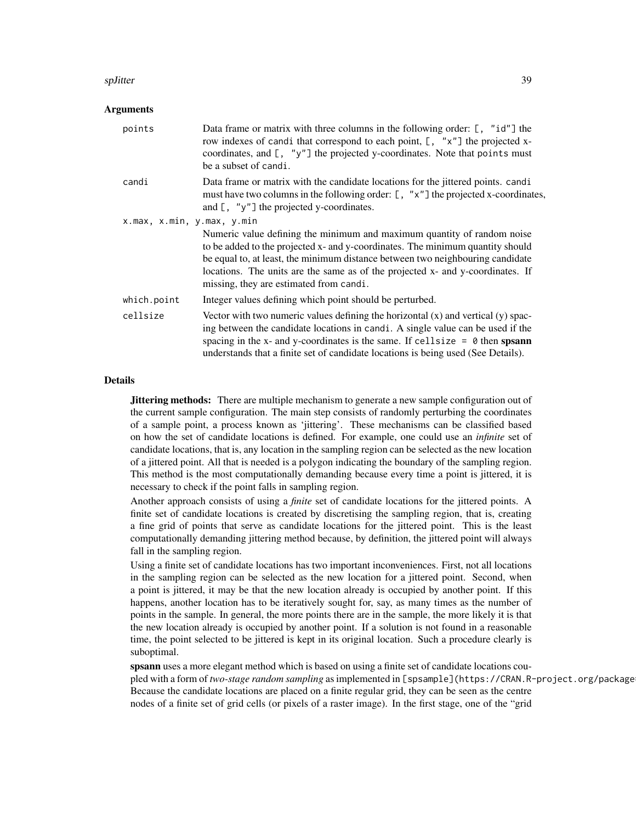#### spJitter 39

# **Arguments**

| points                     | Data frame or matrix with three columns in the following order: [, "id"] the<br>row indexes of candi that correspond to each point, [, "x"] the projected x-<br>coordinates, and [, "y"] the projected y-coordinates. Note that points must<br>be a subset of candi.                                                                                                     |
|----------------------------|--------------------------------------------------------------------------------------------------------------------------------------------------------------------------------------------------------------------------------------------------------------------------------------------------------------------------------------------------------------------------|
| candi                      | Data frame or matrix with the candidate locations for the jittered points. candi<br>must have two columns in the following order: [, "x"] the projected x-coordinates,<br>and $[$ , "y"] the projected y-coordinates.                                                                                                                                                    |
| x.max, x.min, y.max, y.min |                                                                                                                                                                                                                                                                                                                                                                          |
|                            | Numeric value defining the minimum and maximum quantity of random noise<br>to be added to the projected x- and y-coordinates. The minimum quantity should<br>be equal to, at least, the minimum distance between two neighbouring candidate<br>locations. The units are the same as of the projected x- and y-coordinates. If<br>missing, they are estimated from candi. |
| which.point                | Integer values defining which point should be perturbed.                                                                                                                                                                                                                                                                                                                 |
| cellsize                   | Vector with two numeric values defining the horizontal $(x)$ and vertical $(y)$ spac-<br>ing between the candidate locations in candi. A single value can be used if the<br>spacing in the x- and y-coordinates is the same. If cellsize $= 0$ then spsann<br>understands that a finite set of candidate locations is being used (See Details).                          |

# Details

**Jittering methods:** There are multiple mechanism to generate a new sample configuration out of the current sample configuration. The main step consists of randomly perturbing the coordinates of a sample point, a process known as 'jittering'. These mechanisms can be classified based on how the set of candidate locations is defined. For example, one could use an *infinite* set of candidate locations, that is, any location in the sampling region can be selected as the new location of a jittered point. All that is needed is a polygon indicating the boundary of the sampling region. This method is the most computationally demanding because every time a point is jittered, it is necessary to check if the point falls in sampling region.

Another approach consists of using a *finite* set of candidate locations for the jittered points. A finite set of candidate locations is created by discretising the sampling region, that is, creating a fine grid of points that serve as candidate locations for the jittered point. This is the least computationally demanding jittering method because, by definition, the jittered point will always fall in the sampling region.

Using a finite set of candidate locations has two important inconveniences. First, not all locations in the sampling region can be selected as the new location for a jittered point. Second, when a point is jittered, it may be that the new location already is occupied by another point. If this happens, another location has to be iteratively sought for, say, as many times as the number of points in the sample. In general, the more points there are in the sample, the more likely it is that the new location already is occupied by another point. If a solution is not found in a reasonable time, the point selected to be jittered is kept in its original location. Such a procedure clearly is suboptimal.

spsann uses a more elegant method which is based on using a finite set of candidate locations coupled with a form of *two-stage random sampling* as implemented in [spsample](https://CRAN.R-project.org/package Because the candidate locations are placed on a finite regular grid, they can be seen as the centre nodes of a finite set of grid cells (or pixels of a raster image). In the first stage, one of the "grid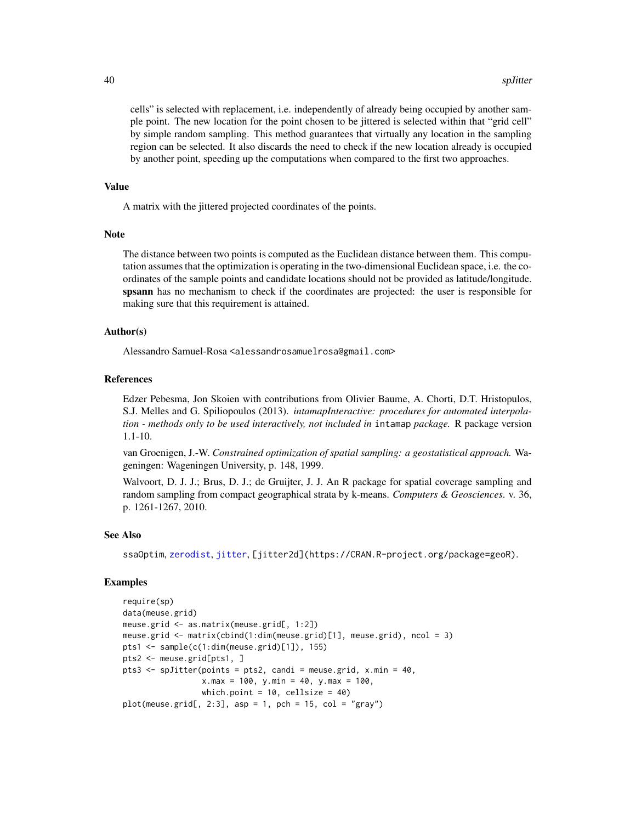cells" is selected with replacement, i.e. independently of already being occupied by another sample point. The new location for the point chosen to be jittered is selected within that "grid cell" by simple random sampling. This method guarantees that virtually any location in the sampling region can be selected. It also discards the need to check if the new location already is occupied by another point, speeding up the computations when compared to the first two approaches.

#### Value

A matrix with the jittered projected coordinates of the points.

## **Note**

The distance between two points is computed as the Euclidean distance between them. This computation assumes that the optimization is operating in the two-dimensional Euclidean space, i.e. the coordinates of the sample points and candidate locations should not be provided as latitude/longitude. spsann has no mechanism to check if the coordinates are projected: the user is responsible for making sure that this requirement is attained.

# Author(s)

Alessandro Samuel-Rosa <alessandrosamuelrosa@gmail.com>

#### References

Edzer Pebesma, Jon Skoien with contributions from Olivier Baume, A. Chorti, D.T. Hristopulos, S.J. Melles and G. Spiliopoulos (2013). *intamapInteractive: procedures for automated interpolation - methods only to be used interactively, not included in* intamap *package.* R package version 1.1-10.

van Groenigen, J.-W. *Constrained optimization of spatial sampling: a geostatistical approach.* Wageningen: Wageningen University, p. 148, 1999.

Walvoort, D. J. J.; Brus, D. J.; de Gruijter, J. J. An R package for spatial coverage sampling and random sampling from compact geographical strata by k-means. *Computers & Geosciences*. v. 36, p. 1261-1267, 2010.

# See Also

ssaOptim, [zerodist](#page-0-0), [jitter](#page-0-0), [jitter2d](https://CRAN.R-project.org/package=geoR).

# Examples

```
require(sp)
data(meuse.grid)
meuse.grid <- as.matrix(meuse.grid[, 1:2])
meuse.grid <- matrix(cbind(1:dim(meuse.grid)[1], meuse.grid), ncol = 3)
pts1 <- sample(c(1:dim(meuse.grid)[1]), 155)
pts2 <- meuse.grid[pts1, ]
pts3 <- spJitter(points = pts2, candi = meuse.grid, x.min = 40,
                 x.max = 100, y.min = 40, y.max = 100,which.point = 10, cellsize = 40)
plot(meuse.grid[, 2:3], asp = 1, pch = 15, col = "gray")
```
<span id="page-39-0"></span>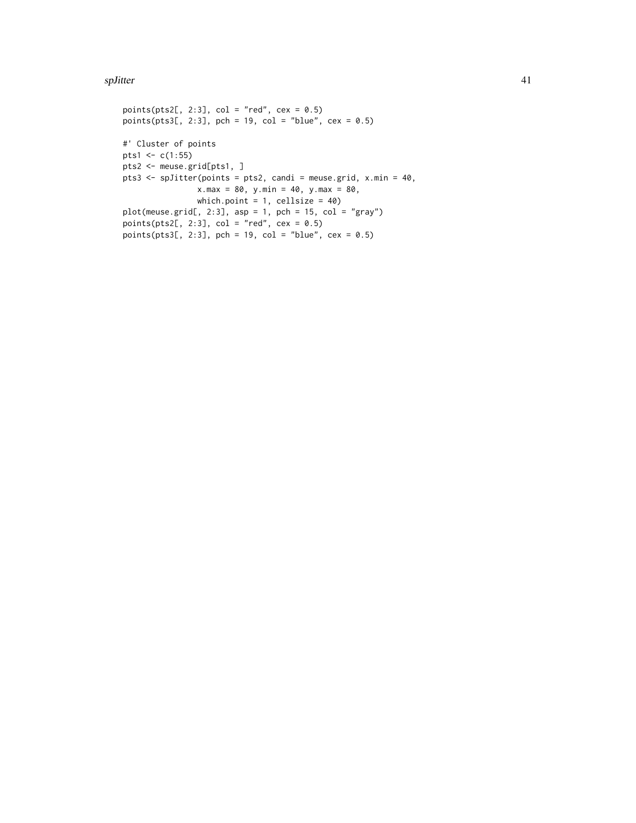#### spJitter 41

```
points(pts2[, 2:3], col = "red", cex = 0.5)points(pts3[, 2:3], pch = 19, col = "blue", cex = 0.5)
#' Cluster of points
pts1 <- c(1:55)pts2 <- meuse.grid[pts1, ]
pts3 <- spJitter(points = pts2, candi = meuse.grid, x.min = 40,
               x.max = 80, y.min = 40, y.max = 80,
               which.point = 1, cellsize = 40)
plot(mouse.grid[, 2:3], asp = 1, pch = 15, col = "gray")points(pts2[, 2:3], col = "red", cex = 0.5)points(pts3[, 2:3], pch = 19, col = "blue", cex = 0.5)
```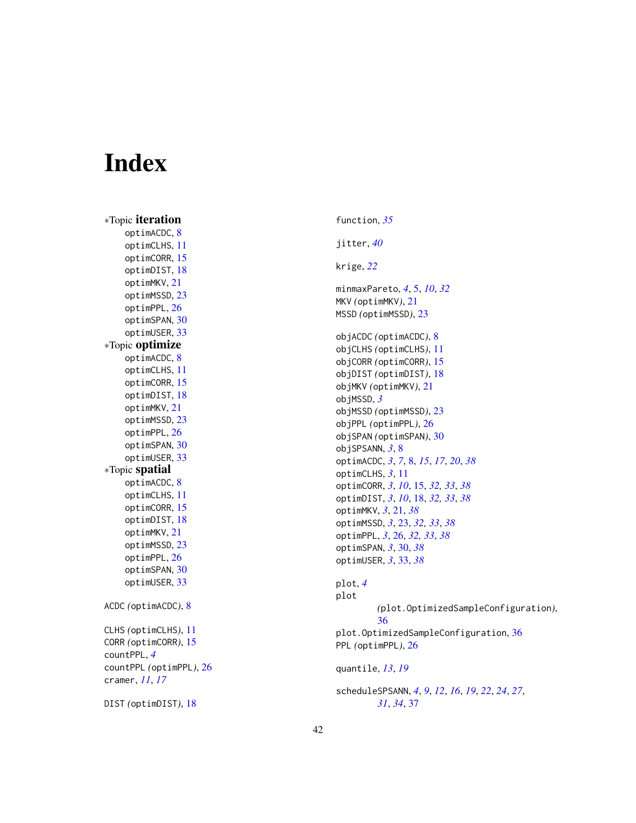# <span id="page-41-0"></span>**Index**

∗Topic iteration optimACDC , [8](#page-7-0) optimCLHS , [11](#page-10-0) optimCORR , [15](#page-14-0) optimDIST , [18](#page-17-0) optimMKV , [21](#page-20-0) optimMSSD , [23](#page-22-0) optimPPL , [26](#page-25-0) optimSPAN , [30](#page-29-0) optimUSER , [33](#page-32-0) ∗Topic optimize optimACDC , [8](#page-7-0) optimCLHS , [11](#page-10-0) optimCORR , [15](#page-14-0) optimDIST , [18](#page-17-0) optimMKV , [21](#page-20-0) optimMSSD , [23](#page-22-0) optimPPL , [26](#page-25-0) optimSPAN , [30](#page-29-0) optimUSER , [33](#page-32-0) ∗Topic spatial optimACDC , [8](#page-7-0) optimCLHS , [11](#page-10-0) optimCORR , [15](#page-14-0) optimDIST , [18](#page-17-0) optimMKV , [21](#page-20-0) optimMSSD , [23](#page-22-0) optimPPL , [26](#page-25-0) optimSPAN , [30](#page-29-0) optimUSER , [33](#page-32-0) ACDC *(*optimACDC *)* , [8](#page-7-0) CLHS *(*optimCLHS *)* , [11](#page-10-0) CORR *(*optimCORR *)* , [15](#page-14-0) countPPL , *[4](#page-3-0)* countPPL *(*optimPPL *)* , [26](#page-25-0) cramer , *[11](#page-10-0)* , *[17](#page-16-0)* DIST *(*optimDIST *)* , [18](#page-17-0)

function , *[35](#page-34-0)* jitter , *[40](#page-39-0)* krige , *[22](#page-21-0)* minmaxPareto , *[4](#page-3-0)* , [5](#page-4-0) , *[10](#page-9-0)* , *[32](#page-31-0)* MKV *(*optimMKV *)* , [21](#page-20-0) MSSD *(*optimMSSD *)* , [23](#page-22-0) objACDC *(*optimACDC *)* , [8](#page-7-0) objCLHS *(*optimCLHS *)* , [11](#page-10-0) objCORR *(*optimCORR *)* , [15](#page-14-0) objDIST *(*optimDIST *)* , [18](#page-17-0) objMKV *(*optimMKV *)* , [21](#page-20-0) objMSSD , *[3](#page-2-0)* objMSSD *(*optimMSSD *)* , [23](#page-22-0) objPPL *(*optimPPL *)* , [26](#page-25-0) objSPAN *(*optimSPAN *)* , [30](#page-29-0) objSPSANN , *[3](#page-2-0)* , [8](#page-7-0) optimACDC , *[3](#page-2-0)* , *[7](#page-6-0)* , [8](#page-7-0) , *[15](#page-14-0)* , *[17](#page-16-0)* , *[20](#page-19-0)* , *[38](#page-37-0)* optimCLHS , *[3](#page-2-0)* , [11](#page-10-0) optimCORR , *[3](#page-2-0)* , *[10](#page-9-0)* , [15](#page-14-0) , *[32](#page-31-0) , [33](#page-32-0)* , *[38](#page-37-0)* optimDIST , *[3](#page-2-0)* , *[10](#page-9-0)* , [18](#page-17-0) , *[32](#page-31-0) , [33](#page-32-0)* , *[38](#page-37-0)* optimMKV , *[3](#page-2-0)* , [21](#page-20-0) , *[38](#page-37-0)* optimMSSD , *[3](#page-2-0)* , [23](#page-22-0) , *[32](#page-31-0) , [33](#page-32-0)* , *[38](#page-37-0)* optimPPL , *[3](#page-2-0)* , [26](#page-25-0) , *[32](#page-31-0) , [33](#page-32-0)* , *[38](#page-37-0)* optimSPAN , *[3](#page-2-0)* , [30](#page-29-0) , *[38](#page-37-0)* optimUSER , *[3](#page-2-0)* , [33](#page-32-0) , *[38](#page-37-0)* plot , *[4](#page-3-0)* plot *(*plot.OptimizedSampleConfiguration *)* , [36](#page-35-0) plot.OptimizedSampleConfiguration , [36](#page-35-0) PPL *(*optimPPL *)* , [26](#page-25-0) quantile , *[13](#page-12-0)* , *[19](#page-18-0)* scheduleSPSANN , *[4](#page-3-0)* , *[9](#page-8-0)* , *[12](#page-11-0)* , *[16](#page-15-0)* , *[19](#page-18-0)* , *[22](#page-21-0)* , *[24](#page-23-0)* , *[27](#page-26-0)* , *[31](#page-30-0)* , *[34](#page-33-0)* , [37](#page-36-0)